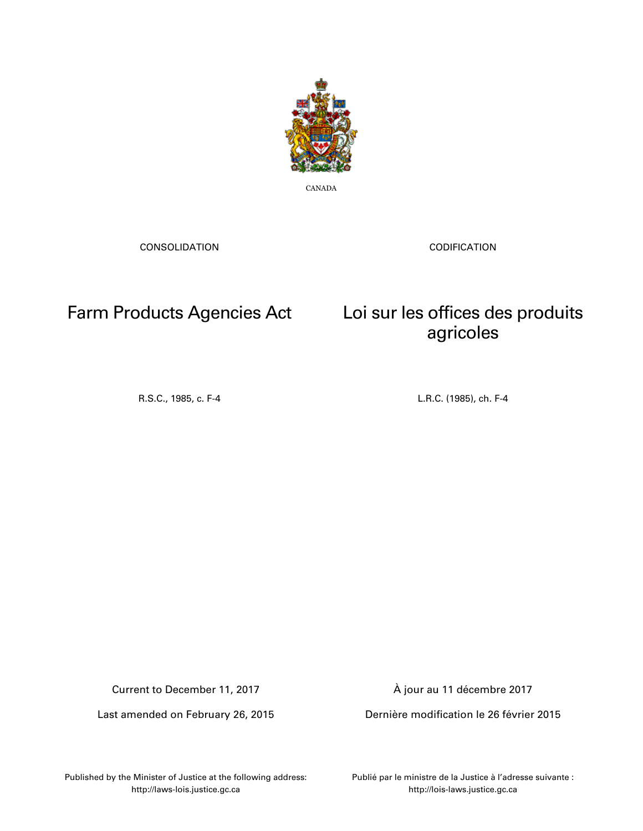

CANADA

CONSOLIDATION

CODIFICATION

## Farm Products Agencies Act Loi sur les offices des produits

### R.S.C., 1985, c. F-4 L.R.C. (1985), ch. F-4

agricoles

Current to December 11, 2017

Last amended on February 26, 2015

À jour au 11 décembre 2017

Dernière modification le 26 février 2015

Published by the Minister of Justice at the following address: http://laws-lois.justice.gc.ca

Publié par le ministre de la Justice à l'adresse suivante : http://lois-laws.justice.gc.ca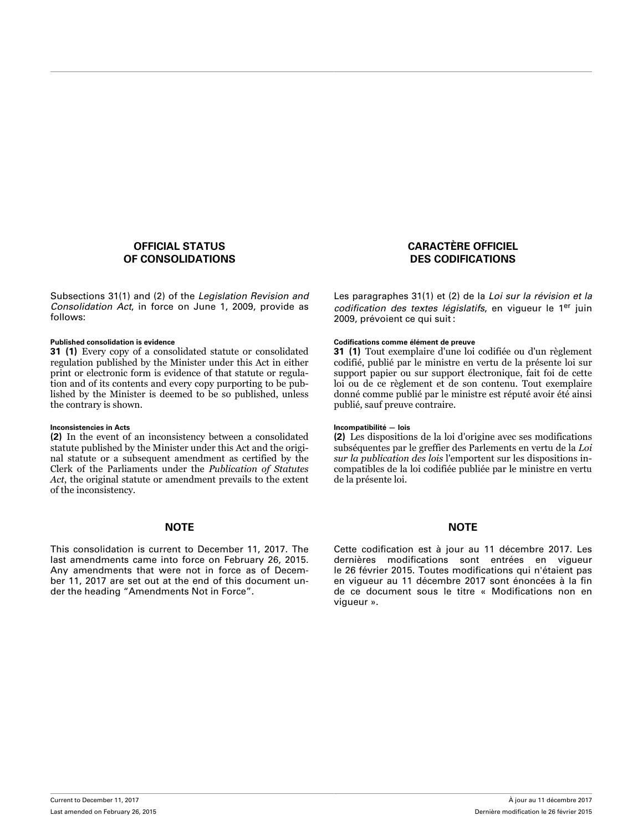### **OFFICIAL STATUS OF CONSOLIDATIONS**

Subsections 31(1) and (2) of the *Legislation Revision and Consolidation Act*, in force on June 1, 2009, provide as follows:

**31 (1)** Every copy of a consolidated statute or consolidated regulation published by the Minister under this Act in either print or electronic form is evidence of that statute or regulation and of its contents and every copy purporting to be published by the Minister is deemed to be so published, unless the contrary is shown.

### **Inconsistencies in Acts Incompatibilité — lois**

**(2)** In the event of an inconsistency between a consolidated statute published by the Minister under this Act and the original statute or a subsequent amendment as certified by the Clerk of the Parliaments under the *Publication of Statutes Act*, the original statute or amendment prevails to the extent of the inconsistency.

This consolidation is current to December 11, 2017. The last amendments came into force on February 26, 2015. Any amendments that were not in force as of Decem‐ ber 11, 2017 are set out at the end of this document un‐ der the heading "Amendments Not in Force".

### **CARACTÈRE OFFICIEL DES CODIFICATIONS**

Les paragraphes 31(1) et (2) de la *Loi sur la révision et la* codification des textes législatifs, en vigueur le 1<sup>er</sup> juin 2009, prévoient ce qui suit :

### **Published consolidation is evidence Codifications comme élément de preuve**

**31 (1)** Tout exemplaire d'une loi codifiée ou d'un règlement codifié, publié par le ministre en vertu de la présente loi sur support papier ou sur support électronique, fait foi de cette loi ou de ce règlement et de son contenu. Tout exemplaire donné comme publié par le ministre est réputé avoir été ainsi publié, sauf preuve contraire.

**(2)** Les dispositions de la loi d'origine avec ses modifications subséquentes par le greffier des Parlements en vertu de la *Loi sur la publication des lois* l'emportent sur les dispositions incompatibles de la loi codifiée publiée par le ministre en vertu de la présente loi.

### **NOTE NOTE**

Cette codification est à jour au 11 décembre 2017. Les dernières modifications sont entrées en vigueur le 26 février 2015. Toutes modifications qui n'étaient pas en vigueur au 11 décembre 2017 sont énoncées à la fin de ce document sous le titre « Modifications non en vigueur ».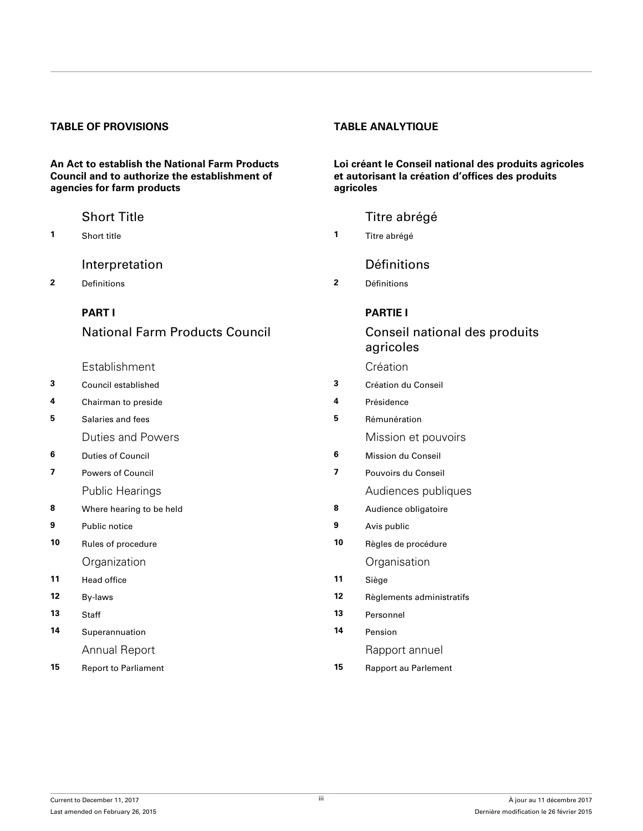### **TABLE OF PROVISIONS TABLE ANALYTIQUE**

**An Act to establish the National Farm Products Council and to authorize the establishment of agencies for farm products**

[Interpretation](#page-5-0) **Définitions** 

**2** Definitions **2** Définitions

### **[PART I](#page-8-0)**

### National Farm Products Council

- [Establishment](#page-8-0) [Création](#page-8-0)
- **3** [Council established](#page-8-0) **3** [Création du Conseil](#page-8-0)
- **4** [Chairman to preside](#page-9-0) **4** [Présidence](#page-9-0)
- **5** [Salaries and fees](#page-9-0) **5** [Rémunération](#page-9-0)
	-
- 
- -
- **8** [Where hearing to be held](#page-13-0) **8** [Audience obligatoire](#page-13-0)
- 
- [Organization](#page-15-0) [Organisation](#page-15-0)
- **11** Head office **11** [Siège](#page-15-0)
- 
- 
- **14** [Superannuation](#page-15-0) **14** [Pension](#page-15-0)
- **15** [Report to Parliament](#page-15-0) **15** [Rapport au Parlement](#page-15-0)

**Loi créant le Conseil national des produits agricoles** et autorisant la création d'offices des produits **agricoles**

### [Short Title](#page-5-0) **Title 1966** Short Title 1966 Short Title abrégé

**1** [Short title](#page-5-0) **1** [Titre abrégé](#page-5-0)

### **[PARTIE I](#page-8-0)**

### Conseil national des produits agricoles

- 
- 
- 
- [Duties and Powers](#page-10-0) **Mission** et pouvoirs
- **6** [Duties of Council](#page-10-0) **6** [Mission du Conseil](#page-10-0)
- **7** [Powers of Council](#page-10-0) **7** [Pouvoirs du Conseil](#page-10-0)
	- [Public Hearings](#page-13-0) **Audiences** publiques
		-
- **9** [Public notice](#page-14-0) **9** [Avis public](#page-14-0)
- **10** [Rules of procedure](#page-14-0) **10** [Règles de procédure](#page-14-0)
	-
- **12** [By-laws](#page-15-0) **12** [Règlements administratifs](#page-15-0)
- **13** [Staff](#page-15-0) **13** [Personnel](#page-15-0)
	-

[Annual Report](#page-15-0) **Rapport** annuel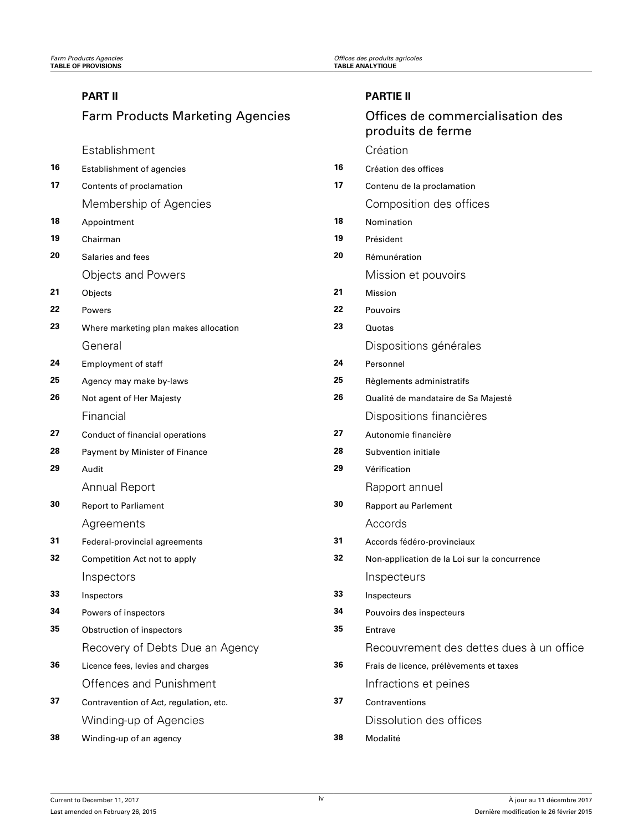### **[PART II](#page-16-0)**

## Farm Products Marketing Agencies

[Establishment](#page-16-0) [Création](#page-16-0)

| 16 | <b>Establishment of agencies</b>       | 16 | Création des offices                         |
|----|----------------------------------------|----|----------------------------------------------|
| 17 | Contents of proclamation               | 17 | Contenu de la proclamation                   |
|    | Membership of Agencies                 |    | Composition des offices                      |
| 18 | Appointment                            | 18 | Nomination                                   |
| 19 | Chairman                               | 19 | Président                                    |
| 20 | Salaries and fees                      | 20 | Rémunération                                 |
|    | <b>Objects and Powers</b>              |    | Mission et pouvoirs                          |
| 21 | Objects                                | 21 | Mission                                      |
| 22 | Powers                                 | 22 | Pouvoirs                                     |
| 23 | Where marketing plan makes allocation  | 23 | Quotas                                       |
|    | General                                |    | Dispositions générales                       |
| 24 | <b>Employment of staff</b>             | 24 | Personnel                                    |
| 25 | Agency may make by-laws                | 25 | Règlements administratifs                    |
| 26 | Not agent of Her Majesty               | 26 | Qualité de mandataire de Sa Majesté          |
|    | Financial                              |    | Dispositions financières                     |
| 27 | Conduct of financial operations        | 27 | Autonomie financière                         |
| 28 | Payment by Minister of Finance         | 28 | Subvention initiale                          |
| 29 | Audit                                  | 29 | Vérification                                 |
|    | <b>Annual Report</b>                   |    | Rapport annuel                               |
| 30 | <b>Report to Parliament</b>            | 30 | Rapport au Parlement                         |
|    | Agreements                             |    | Accords                                      |
| 31 | Federal-provincial agreements          | 31 | Accords fédéro-provinciaux                   |
| 32 | Competition Act not to apply           | 32 | Non-application de la Loi sur la concurrence |
|    | Inspectors                             |    | Inspecteurs                                  |
| 33 | Inspectors                             | 33 | Inspecteurs                                  |
| 34 | Powers of inspectors                   | 34 | Pouvoirs des inspecteurs                     |
| 35 | Obstruction of inspectors              | 35 | <b>Fntrave</b>                               |
|    | Recovery of Debts Due an Agency        |    | Recouvrement des dettes dues à un office     |
| 36 | Licence fees, levies and charges       | 36 | Frais de licence, prélèvements et taxes      |
|    | Offences and Punishment                |    | Infractions et peines                        |
| 37 | Contravention of Act, regulation, etc. | 37 | Contraventions                               |
|    | Winding-up of Agencies                 |    | Dissolution des offices                      |
| 38 | Winding-up of an agency                | 38 | Modalité                                     |

produits de ferme

Offices de commercialisation des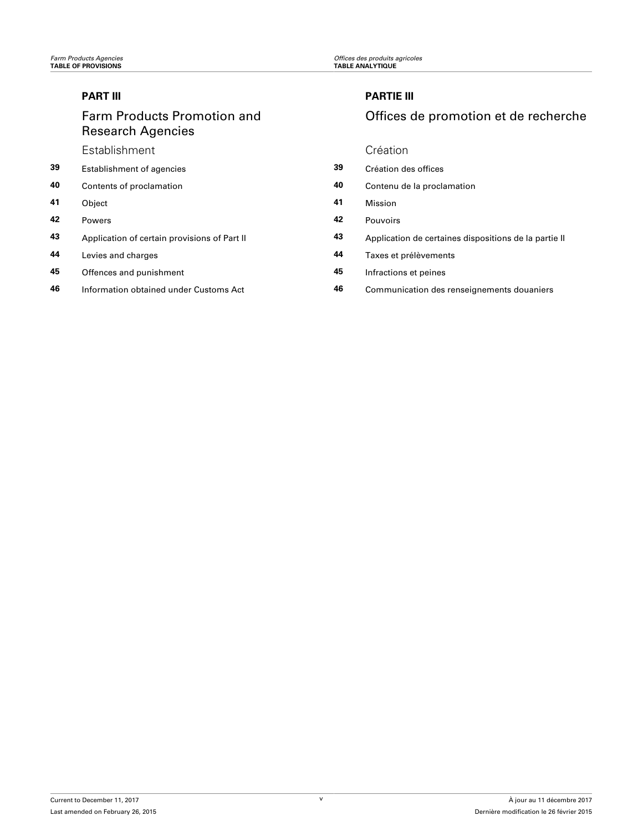### **[PART III](#page-27-0)**

## Farm Products Promotion and Research Agencies

[Establishment](#page-27-0) [Création](#page-27-0)

- **39** [Establishment of agencies](#page-27-0)
- **40** [Contents of proclamation](#page-27-0)
- 
- 
- **43** [Application of certain provisions of Part II](#page-31-0)
- **44** [Levies and charges](#page-31-0)
- **45** [Offences and punishment](#page-31-0)
- **46** [Information obtained under Customs Act](#page-32-0)

### **[PARTIE III](#page-27-0)**

### Offices de promotion et de recherche

| 39 | Establishment of agencies                    | 39 | Création des offices                                  |
|----|----------------------------------------------|----|-------------------------------------------------------|
| 40 | Contents of proclamation                     | 40 | Contenu de la proclamation                            |
| 41 | Object                                       | 41 | <b>Mission</b>                                        |
| 42 | <b>Powers</b>                                | 42 | <b>Pouvoirs</b>                                       |
| 43 | Application of certain provisions of Part II | 43 | Application de certaines dispositions de la partie II |
| 44 | Levies and charges                           | 44 | Taxes et prélèvements                                 |
| 45 | Offences and punishment                      | 45 | Infractions et peines                                 |
| 46 | Information obtained under Customs Act       | 46 | Communication des renseignements douaniers            |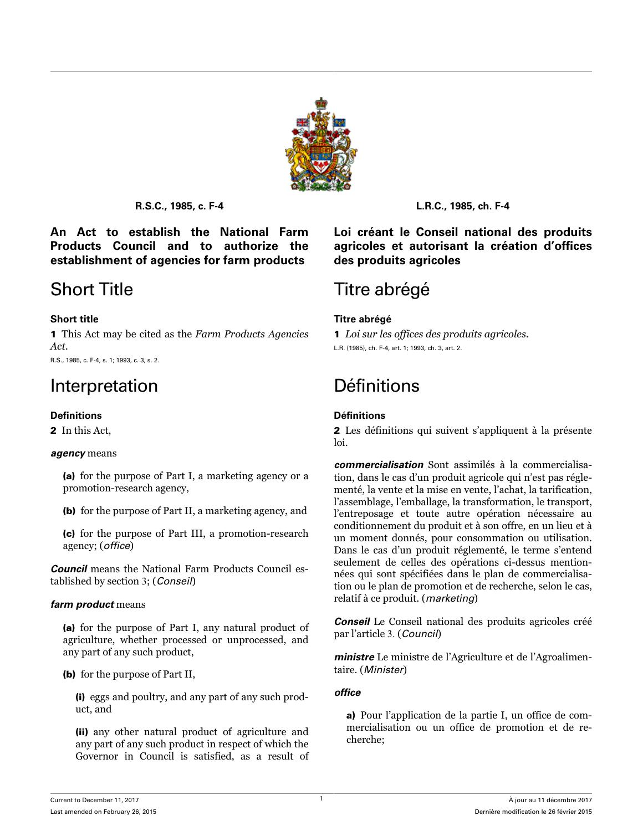

<span id="page-5-0"></span>**An Act to establish the National Farm Products Council and to authorize the establishment of agencies for farm products**

1 This Act may be cited as the *Farm Products Agencies Act*. R.S., 1985, c. F-4, s. 1; 1993, c. 3, s. 2.

2 In this Act

### *agency* means

(a) for the purpose of Part I, a marketing agency or a promotion-research agency,

(b) for the purpose of Part II, a marketing agency, and

(c) for the purpose of Part III, a promotion-research agency; (*office*)

*Council* means the National Farm Products Council established by section 3; (*Conseil*)

### *farm product* means

(a) for the purpose of Part I, any natural product of agriculture, whether processed or unprocessed, and any part of any such product,

(b) for the purpose of Part II,

(i) eggs and poultry, and any part of any such product, and

(ii) any other natural product of agriculture and any part of any such product in respect of which the Governor in Council is satisfied, as a result of

**R.S.C., 1985, c. F-4 L.R.C., 1985, ch. F-4**

**Loi créant le Conseil national des produits** agricoles et autorisant la création d'offices **des produits agricoles**

## Short Title Titre abrégé

### **Short title Titre abrégé**

1 *Loi sur les offices des produits agricoles*. L.R. (1985), ch. F-4, art. 1; 1993, ch. 3, art. 2.

## Interpretation **Définitions**

### **Definitions Définitions**

2 Les définitions qui suivent s'appliquent à la présente loi.

*commercialisation* Sont assimilés à la commercialisation, dans le cas d'un produit agricole qui n'est pas réglementé, la vente et la mise en vente, l'achat, la tarification, l'assemblage, l'emballage, la transformation, le transport, l'entreposage et toute autre opération nécessaire au conditionnement du produit et à son offre, en un lieu et à un moment donnés, pour consommation ou utilisation. Dans le cas d'un produit réglementé, le terme s'entend seulement de celles des opérations ci-dessus mentionnées qui sont spécifiées dans le plan de commercialisation ou le plan de promotion et de recherche, selon le cas, relatif à ce produit. (*marketing*)

*Conseil* Le Conseil national des produits agricoles créé par l'article 3. (*Council*)

*ministre* Le ministre de l'Agriculture et de l'Agroalimentaire. (*Minister*)

### office

a) Pour l'application de la partie I, un office de commercialisation ou un office de promotion et de recherche;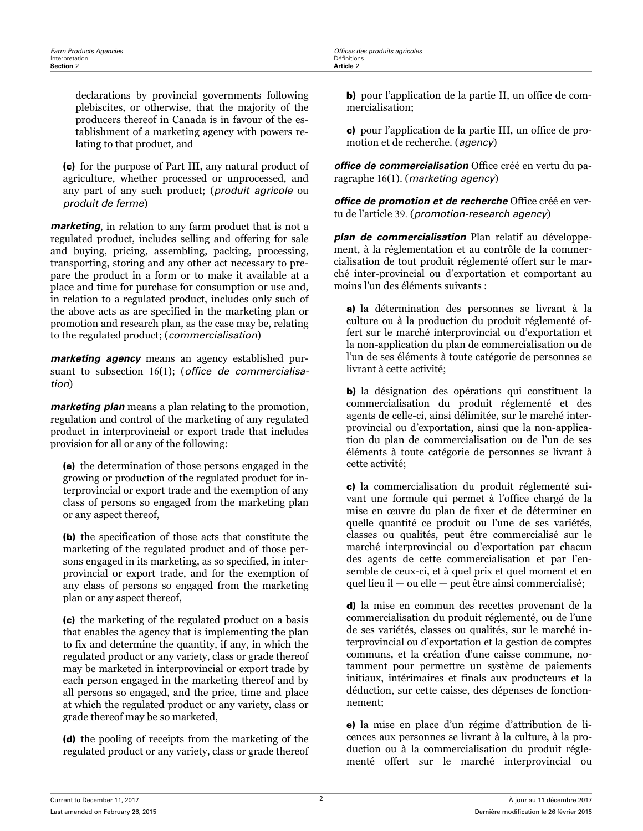**Farm Products Agencies**<br> **Products Agencies**<br> **Offices des produits agricoles**<br> **Officitions** 

declarations by provincial governments following plebiscites, or otherwise, that the majority of the producers thereof in Canada is in favour of the establishment of a marketing agency with powers relating to that product, and

(c) for the purpose of Part III, any natural product of agriculture, whether processed or unprocessed, and any part of any such product; (*produit agricole* ou *produit de ferme*)

*marketing*, in relation to any farm product that is not a regulated product, includes selling and offering for sale and buying, pricing, assembling, packing, processing, transporting, storing and any other act necessary to prepare the product in a form or to make it available at a place and time for purchase for consumption or use and, in relation to a regulated product, includes only such of the above acts as are specified in the marketing plan or promotion and research plan, as the case may be, relating to the regulated product; (*commercialisation*)

*marketing agency* means an agency established pursuant to subsection 16(1); (*office de commercialisation*)

*marketing plan* means a plan relating to the promotion, regulation and control of the marketing of any regulated product in interprovincial or export trade that includes provision for all or any of the following:

(a) the determination of those persons engaged in the growing or production of the regulated product for interprovincial or export trade and the exemption of any class of persons so engaged from the marketing plan or any aspect thereof,

(b) the specification of those acts that constitute the marketing of the regulated product and of those persons engaged in its marketing, as so specified, in interprovincial or export trade, and for the exemption of any class of persons so engaged from the marketing plan or any aspect thereof,

(c) the marketing of the regulated product on a basis that enables the agency that is implementing the plan to fix and determine the quantity, if any, in which the regulated product or any variety, class or grade thereof may be marketed in interprovincial or export trade by each person engaged in the marketing thereof and by all persons so engaged, and the price, time and place at which the regulated product or any variety, class or grade thereof may be so marketed,

(d) the pooling of receipts from the marketing of the regulated product or any variety, class or grade thereof b) pour l'application de la partie II, un office de commercialisation;

c) pour l'application de la partie III, un office de promotion et de recherche. (*agency*)

*office de commercialisation* Office créé en vertu du paragraphe 16(1). (*marketing agency*)

office de promotion et de recherche Office créé en vertu de l'article 39. (*promotion-research agency*)

*plan de commercialisation* Plan relatif au développement, à la réglementation et au contrôle de la commercialisation de tout produit réglementé offert sur le marché inter-provincial ou d'exportation et comportant au moins l'un des éléments suivants :

a) la détermination des personnes se livrant à la culture ou à la production du produit réglementé offert sur le marché interprovincial ou d'exportation et la non-application du plan de commercialisation ou de l'un de ses éléments à toute catégorie de personnes se livrant à cette activité;

b) la désignation des opérations qui constituent la commercialisation du produit réglementé et des agents de celle-ci, ainsi délimitée, sur le marché interprovincial ou d'exportation, ainsi que la non-application du plan de commercialisation ou de l'un de ses éléments à toute catégorie de personnes se livrant à cette activité;

c) la commercialisation du produit réglementé suivant une formule qui permet à l'office chargé de la mise en œuvre du plan de fixer et de déterminer en quelle quantité ce produit ou l'une de ses variétés, classes ou qualités, peut être commercialisé sur le marché interprovincial ou d'exportation par chacun des agents de cette commercialisation et par l'ensemble de ceux-ci, et à quel prix et quel moment et en quel lieu il — ou elle — peut être ainsi commercialisé;

d) la mise en commun des recettes provenant de la commercialisation du produit réglementé, ou de l'une de ses variétés, classes ou qualités, sur le marché interprovincial ou d'exportation et la gestion de comptes communs, et la création d'une caisse commune, notamment pour permettre un système de paiements initiaux, intérimaires et finals aux producteurs et la déduction, sur cette caisse, des dépenses de fonctionnement;

e) la mise en place d'un régime d'attribution de licences aux personnes se livrant à la culture, à la production ou à la commercialisation du produit réglementé offert sur le marché interprovincial ou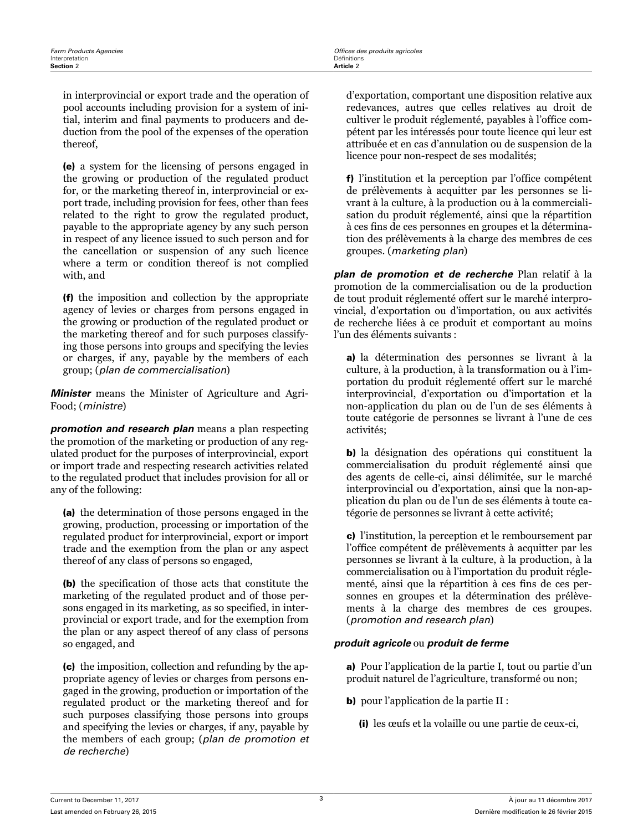in interprovincial or export trade and the operation of pool accounts including provision for a system of initial, interim and final payments to producers and deduction from the pool of the expenses of the operation thereof,

(e) a system for the licensing of persons engaged in the growing or production of the regulated product for, or the marketing thereof in, interprovincial or export trade, including provision for fees, other than fees related to the right to grow the regulated product, payable to the appropriate agency by any such person in respect of any licence issued to such person and for the cancellation or suspension of any such licence where a term or condition thereof is not complied with, and

(f) the imposition and collection by the appropriate agency of levies or charges from persons engaged in the growing or production of the regulated product or the marketing thereof and for such purposes classifying those persons into groups and specifying the levies or charges, if any, payable by the members of each group; (*plan de commercialisation*)

*Minister* means the Minister of Agriculture and Agri-Food; (*ministre*)

*promotion and research plan* means a plan respecting the promotion of the marketing or production of any regulated product for the purposes of interprovincial, export or import trade and respecting research activities related to the regulated product that includes provision for all or any of the following:

(a) the determination of those persons engaged in the growing, production, processing or importation of the regulated product for interprovincial, export or import trade and the exemption from the plan or any aspect thereof of any class of persons so engaged,

(b) the specification of those acts that constitute the marketing of the regulated product and of those persons engaged in its marketing, as so specified, in interprovincial or export trade, and for the exemption from the plan or any aspect thereof of any class of persons so engaged, and

(c) the imposition, collection and refunding by the appropriate agency of levies or charges from persons engaged in the growing, production or importation of the regulated product or the marketing thereof and for such purposes classifying those persons into groups and specifying the levies or charges, if any, payable by the members of each group; (*plan de promotion et de recherche*)

d'exportation, comportant une disposition relative aux redevances, autres que celles relatives au droit de cultiver le produit réglementé, payables à l'office compétent par les intéressés pour toute licence qui leur est attribuée et en cas d'annulation ou de suspension de la licence pour non-respect de ses modalités;

f) l'institution et la perception par l'office compétent de prélèvements à acquitter par les personnes se livrant à la culture, à la production ou à la commercialisation du produit réglementé, ainsi que la répartition à ces fins de ces personnes en groupes et la détermination des prélèvements à la charge des membres de ces groupes. (*marketing plan*)

*plan de promotion et de recherche* Plan relatif à la promotion de la commercialisation ou de la production de tout produit réglementé offert sur le marché interprovincial, d'exportation ou d'importation, ou aux activités de recherche liées à ce produit et comportant au moins l'un des éléments suivants :

a) la détermination des personnes se livrant à la culture, à la production, à la transformation ou à l'importation du produit réglementé offert sur le marché interprovincial, d'exportation ou d'importation et la non-application du plan ou de l'un de ses éléments à toute catégorie de personnes se livrant à l'une de ces activités;

b) la désignation des opérations qui constituent la commercialisation du produit réglementé ainsi que des agents de celle-ci, ainsi délimitée, sur le marché interprovincial ou d'exportation, ainsi que la non-application du plan ou de l'un de ses éléments à toute catégorie de personnes se livrant à cette activité;

c) l'institution, la perception et le remboursement par l'office compétent de prélèvements à acquitter par les personnes se livrant à la culture, à la production, à la commercialisation ou à l'importation du produit réglementé, ainsi que la répartition à ces fins de ces personnes en groupes et la détermination des prélèvements à la charge des membres de ces groupes. (*promotion and research plan*)

### *produit agricole* ou *produit de ferme*

a) Pour l'application de la partie I, tout ou partie d'un produit naturel de l'agriculture, transformé ou non;

- b) pour l'application de la partie II :
	- (i) les œufs et la volaille ou une partie de ceux-ci,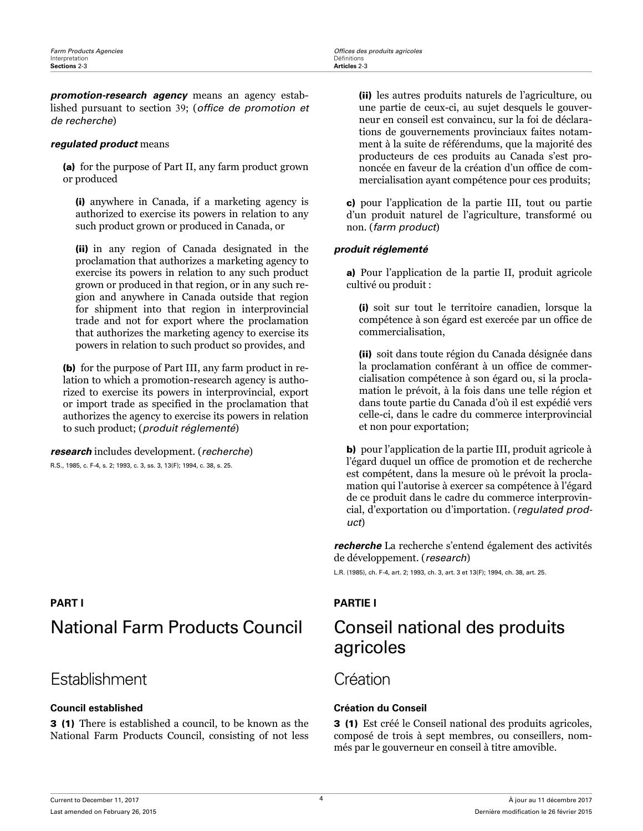<span id="page-8-0"></span>*promotion-research agency* means an agency established pursuant to section 39; (*office de promotion et de recherche*)

### *regulated product* means

(a) for the purpose of Part II, any farm product grown or produced

(i) anywhere in Canada, if a marketing agency is authorized to exercise its powers in relation to any such product grown or produced in Canada, or

(ii) in any region of Canada designated in the proclamation that authorizes a marketing agency to exercise its powers in relation to any such product grown or produced in that region, or in any such region and anywhere in Canada outside that region for shipment into that region in interprovincial trade and not for export where the proclamation that authorizes the marketing agency to exercise its powers in relation to such product so provides, and

(b) for the purpose of Part III, any farm product in relation to which a promotion-research agency is authorized to exercise its powers in interprovincial, export or import trade as specified in the proclamation that authorizes the agency to exercise its powers in relation to such product; (*produit réglementé*)

### *research* includes development. (*recherche*)

R.S., 1985, c. F-4, s. 2; 1993, c. 3, ss. 3, 13(F); 1994, c. 38, s. 25.

## National Farm Products Council Conseil national des produits

## Establishment Création

### **Council established Création du Conseil**

3 (1) There is established a council, to be known as the National Farm Products Council, consisting of not less (ii) les autres produits naturels de l'agriculture, ou une partie de ceux-ci, au sujet desquels le gouverneur en conseil est convaincu, sur la foi de déclarations de gouvernements provinciaux faites notamment à la suite de référendums, que la majorité des producteurs de ces produits au Canada s'est prononcée en faveur de la création d'un office de commercialisation ayant compétence pour ces produits;

c) pour l'application de la partie III, tout ou partie d'un produit naturel de l'agriculture, transformé ou non. (*farm product*)

### *produit réglementé*

a) Pour l'application de la partie II, produit agricole cultivé ou produit :

(i) soit sur tout le territoire canadien, lorsque la compétence à son égard est exercée par un office de commercialisation,

(ii) soit dans toute région du Canada désignée dans la proclamation conférant à un office de commercialisation compétence à son égard ou, si la proclamation le prévoit, à la fois dans une telle région et dans toute partie du Canada d'où il est expédié vers celle-ci, dans le cadre du commerce interprovincial et non pour exportation;

b) pour l'application de la partie III, produit agricole à l'égard duquel un office de promotion et de recherche est compétent, dans la mesure où le prévoit la proclamation qui l'autorise à exercer sa compétence à l'égard de ce produit dans le cadre du commerce interprovincial, d'exportation ou d'importation. (*regulated product*)

*recherche* La recherche s'entend également des activités de développement. (*research*)

L.R. (1985), ch. F-4, art. 2; 1993, ch. 3, art. 3 et 13(F); 1994, ch. 38, art. 25.

### **PART I PARTIE I**

# agricoles

3 (1) Est créé le Conseil national des produits agricoles, composé de trois à sept membres, ou conseillers, nommés par le gouverneur en conseil à titre amovible.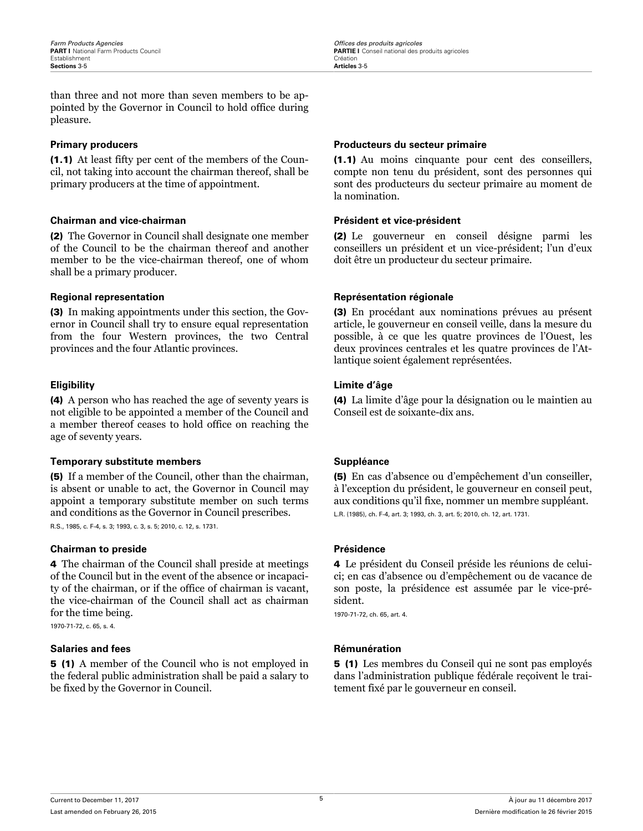<span id="page-9-0"></span>than three and not more than seven members to be appointed by the Governor in Council to hold office during pleasure.

(1.1) At least fifty per cent of the members of the Council, not taking into account the chairman thereof, shall be primary producers at the time of appointment.

### **Chairman and vice-chairman Président et vice-président**

(2) The Governor in Council shall designate one member of the Council to be the chairman thereof and another member to be the vice-chairman thereof, one of whom shall be a primary producer.

(3) In making appointments under this section, the Governor in Council shall try to ensure equal representation from the four Western provinces, the two Central provinces and the four Atlantic provinces.

(4) A person who has reached the age of seventy years is not eligible to be appointed a member of the Council and a member thereof ceases to hold office on reaching the age of seventy years.

### **Temporary substitute members Suppléance**

(5) If a member of the Council, other than the chairman, is absent or unable to act, the Governor in Council may appoint a temporary substitute member on such terms and conditions as the Governor in Council prescribes.

R.S., 1985, c. F-4, s. 3; 1993, c. 3, s. 5; 2010, c. 12, s. 1731.

### **Chairman to preside <br>
<b>Présidence**

4 The chairman of the Council shall preside at meetings of the Council but in the event of the absence or incapacity of the chairman, or if the office of chairman is vacant, the vice-chairman of the Council shall act as chairman for the time being.

1970-71-72, c. 65, s. 4.

### **Salaries and fees Rémunération**

5 (1) A member of the Council who is not employed in the federal public administration shall be paid a salary to be fixed by the Governor in Council.

### **Primary producers Producteurs du secteur primaire**

(1.1) Au moins cinquante pour cent des conseillers, compte non tenu du président, sont des personnes qui sont des producteurs du secteur primaire au moment de la nomination.

(2) Le gouverneur en conseil désigne parmi les conseillers un président et un vice-président; l'un d'eux doit être un producteur du secteur primaire.

### **Regional representation Représentation régionale**

(3) En procédant aux nominations prévues au présent article, le gouverneur en conseil veille, dans la mesure du possible, à ce que les quatre provinces de l'Ouest, les deux provinces centrales et les quatre provinces de l'Atlantique soient également représentées.

### **Eligibility Limite d'âge**

(4) La limite d'âge pour la désignation ou le maintien au Conseil est de soixante-dix ans.

(5) En cas d'absence ou d'empêchement d'un conseiller, à l'exception du président, le gouverneur en conseil peut, aux conditions qu'il fixe, nommer un membre suppléant. L.R. (1985), ch. F-4, art. 3; 1993, ch. 3, art. 5; 2010, ch. 12, art. 1731.

4 Le président du Conseil préside les réunions de celuici; en cas d'absence ou d'empêchement ou de vacance de son poste, la présidence est assumée par le vice-président.

1970-71-72, ch. 65, art. 4.

5 (1) Les membres du Conseil qui ne sont pas employés dans l'administration publique fédérale reçoivent le traitement fixé par le gouverneur en conseil.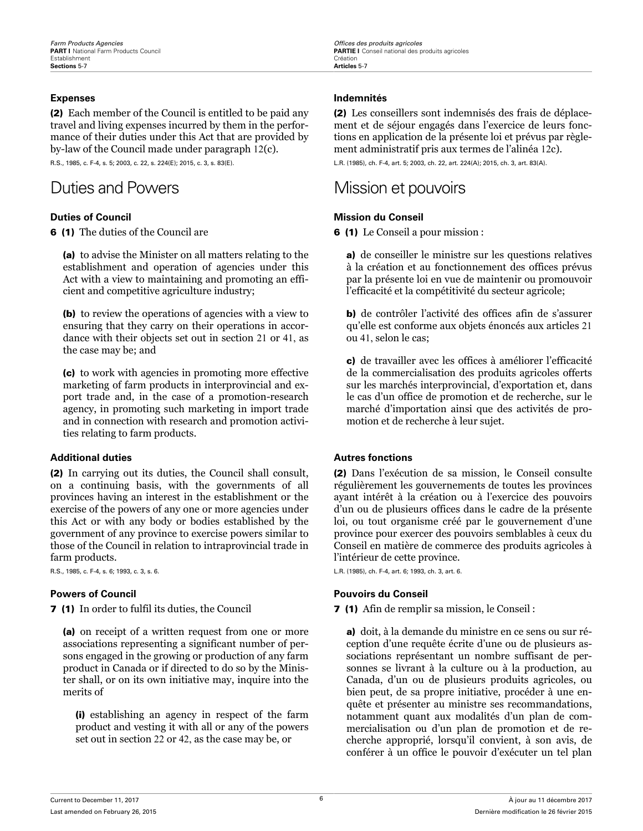(2) Each member of the Council is entitled to be paid any travel and living expenses incurred by them in the performance of their duties under this Act that are provided by by-law of the Council made under paragraph 12(c).

R.S., 1985, c. F-4, s. 5; 2003, c. 22, s. 224(E); 2015, c. 3, s. 83(E).

## Duties and Powers **Mission et pouvoirs**

6 (1) The duties of the Council are

(a) to advise the Minister on all matters relating to the establishment and operation of agencies under this Act with a view to maintaining and promoting an efficient and competitive agriculture industry;

(b) to review the operations of agencies with a view to ensuring that they carry on their operations in accordance with their objects set out in section 21 or 41, as the case may be; and

(c) to work with agencies in promoting more effective marketing of farm products in interprovincial and export trade and, in the case of a promotion-research agency, in promoting such marketing in import trade and in connection with research and promotion activities relating to farm products.

### **Additional duties Autres fonctions**

(2) In carrying out its duties, the Council shall consult, on a continuing basis, with the governments of all provinces having an interest in the establishment or the exercise of the powers of any one or more agencies under this Act or with any body or bodies established by the government of any province to exercise powers similar to those of the Council in relation to intraprovincial trade in farm products.

R.S., 1985, c. F-4, s. 6; 1993, c. 3, s. 6.

7 (1) In order to fulfil its duties, the Council

(a) on receipt of a written request from one or more associations representing a significant number of persons engaged in the growing or production of any farm product in Canada or if directed to do so by the Minister shall, or on its own initiative may, inquire into the merits of

(i) establishing an agency in respect of the farm product and vesting it with all or any of the powers set out in section 22 or 42, as the case may be, or

### <span id="page-10-0"></span>**Expenses Indemnités**

(2) Les conseillers sont indemnisés des frais de déplacement et de séjour engagés dans l'exercice de leurs fonctions en application de la présente loi et prévus par règlement administratif pris aux termes de l'alinéa 12c).

L.R. (1985), ch. F-4, art. 5; 2003, ch. 22, art. 224(A); 2015, ch. 3, art. 83(A).

### **Duties of Council Mission du Conseil**

6 (1) Le Conseil a pour mission :

a) de conseiller le ministre sur les questions relatives à la création et au fonctionnement des offices prévus par la présente loi en vue de maintenir ou promouvoir l'efficacité et la compétitivité du secteur agricole;

b) de contrôler l'activité des offices afin de s'assurer qu'elle est conforme aux objets énoncés aux articles 21 ou 41, selon le cas;

c) de travailler avec les offices à améliorer l'efficacité de la commercialisation des produits agricoles offerts sur les marchés interprovincial, d'exportation et, dans le cas d'un office de promotion et de recherche, sur le marché d'importation ainsi que des activités de promotion et de recherche à leur sujet.

(2) Dans l'exécution de sa mission, le Conseil consulte régulièrement les gouvernements de toutes les provinces ayant intérêt à la création ou à l'exercice des pouvoirs d'un ou de plusieurs offices dans le cadre de la présente loi, ou tout organisme créé par le gouvernement d'une province pour exercer des pouvoirs semblables à ceux du Conseil en matière de commerce des produits agricoles à l'intérieur de cette province.

L.R. (1985), ch. F-4, art. 6; 1993, ch. 3, art. 6.

### **Powers of Council Pouvoirs du Conseil**

7 (1) Afin de remplir sa mission, le Conseil :

a) doit, à la demande du ministre en ce sens ou sur réception d'une requête écrite d'une ou de plusieurs associations représentant un nombre suffisant de personnes se livrant à la culture ou à la production, au Canada, d'un ou de plusieurs produits agricoles, ou bien peut, de sa propre initiative, procéder à une enquête et présenter au ministre ses recommandations, notamment quant aux modalités d'un plan de commercialisation ou d'un plan de promotion et de recherche approprié, lorsqu'il convient, à son avis, de conférer à un office le pouvoir d'exécuter un tel plan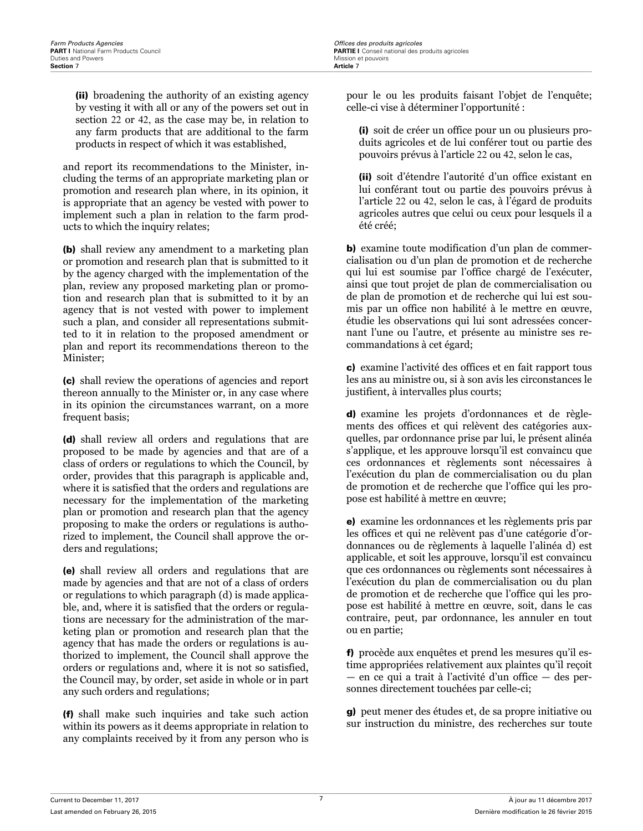(ii) broadening the authority of an existing agency by vesting it with all or any of the powers set out in section 22 or 42, as the case may be, in relation to any farm products that are additional to the farm products in respect of which it was established,

and report its recommendations to the Minister, including the terms of an appropriate marketing plan or promotion and research plan where, in its opinion, it is appropriate that an agency be vested with power to implement such a plan in relation to the farm products to which the inquiry relates;

(b) shall review any amendment to a marketing plan or promotion and research plan that is submitted to it by the agency charged with the implementation of the plan, review any proposed marketing plan or promotion and research plan that is submitted to it by an agency that is not vested with power to implement such a plan, and consider all representations submitted to it in relation to the proposed amendment or plan and report its recommendations thereon to the Minister;

(c) shall review the operations of agencies and report thereon annually to the Minister or, in any case where in its opinion the circumstances warrant, on a more frequent basis;

(d) shall review all orders and regulations that are proposed to be made by agencies and that are of a class of orders or regulations to which the Council, by order, provides that this paragraph is applicable and, where it is satisfied that the orders and regulations are necessary for the implementation of the marketing plan or promotion and research plan that the agency proposing to make the orders or regulations is authorized to implement, the Council shall approve the orders and regulations;

(e) shall review all orders and regulations that are made by agencies and that are not of a class of orders or regulations to which paragraph (d) is made applicable, and, where it is satisfied that the orders or regulations are necessary for the administration of the marketing plan or promotion and research plan that the agency that has made the orders or regulations is authorized to implement, the Council shall approve the orders or regulations and, where it is not so satisfied, the Council may, by order, set aside in whole or in part any such orders and regulations;

(f) shall make such inquiries and take such action within its powers as it deems appropriate in relation to any complaints received by it from any person who is pour le ou les produits faisant l'objet de l'enquête; celle-ci vise à déterminer l'opportunité :

(i) soit de créer un office pour un ou plusieurs produits agricoles et de lui conférer tout ou partie des pouvoirs prévus à l'article 22 ou 42, selon le cas,

(ii) soit d'étendre l'autorité d'un office existant en lui conférant tout ou partie des pouvoirs prévus à l'article 22 ou 42, selon le cas, à l'égard de produits agricoles autres que celui ou ceux pour lesquels il a été créé;

b) examine toute modification d'un plan de commercialisation ou d'un plan de promotion et de recherche qui lui est soumise par l'office chargé de l'exécuter, ainsi que tout projet de plan de commercialisation ou de plan de promotion et de recherche qui lui est soumis par un office non habilité à le mettre en œuvre, étudie les observations qui lui sont adressées concernant l'une ou l'autre, et présente au ministre ses recommandations à cet égard;

c) examine l'activité des offices et en fait rapport tous les ans au ministre ou, si à son avis les circonstances le justifient, à intervalles plus courts;

d) examine les projets d'ordonnances et de règlements des offices et qui relèvent des catégories auxquelles, par ordonnance prise par lui, le présent alinéa s'applique, et les approuve lorsqu'il est convaincu que ces ordonnances et règlements sont nécessaires à l'exécution du plan de commercialisation ou du plan de promotion et de recherche que l'office qui les propose est habilité à mettre en œuvre;

e) examine les ordonnances et les règlements pris par les offices et qui ne relèvent pas d'une catégorie d'ordonnances ou de règlements à laquelle l'alinéa d) est applicable, et soit les approuve, lorsqu'il est convaincu que ces ordonnances ou règlements sont nécessaires à l'exécution du plan de commercialisation ou du plan de promotion et de recherche que l'office qui les propose est habilité à mettre en œuvre, soit, dans le cas contraire, peut, par ordonnance, les annuler en tout ou en partie;

f) procède aux enquêtes et prend les mesures qu'il estime appropriées relativement aux plaintes qu'il reçoit — en ce qui a trait à l'activité d'un office — des personnes directement touchées par celle-ci;

g) peut mener des études et, de sa propre initiative ou sur instruction du ministre, des recherches sur toute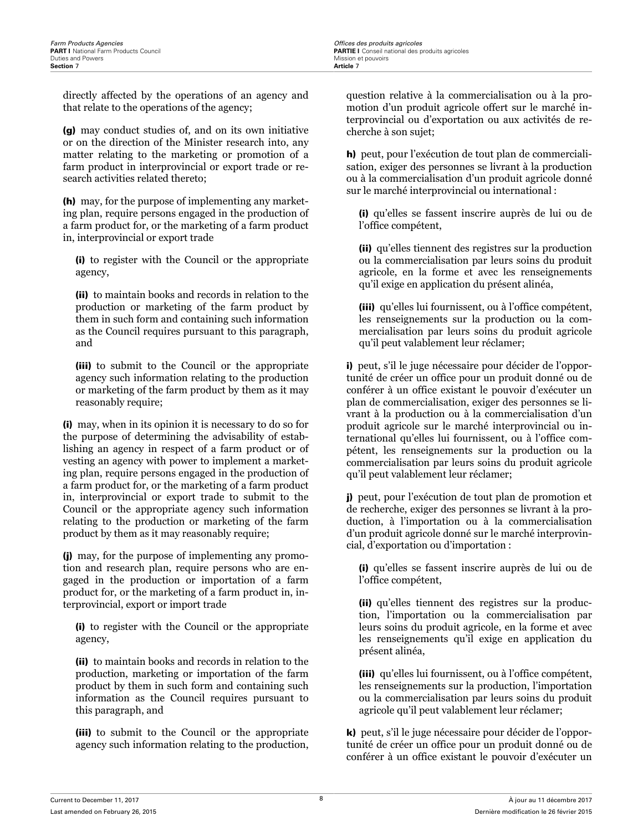directly affected by the operations of an agency and that relate to the operations of the agency;

(g) may conduct studies of, and on its own initiative or on the direction of the Minister research into, any matter relating to the marketing or promotion of a farm product in interprovincial or export trade or research activities related thereto;

(h) may, for the purpose of implementing any marketing plan, require persons engaged in the production of a farm product for, or the marketing of a farm product in, interprovincial or export trade

(i) to register with the Council or the appropriate agency,

(ii) to maintain books and records in relation to the production or marketing of the farm product by them in such form and containing such information as the Council requires pursuant to this paragraph, and

(iii) to submit to the Council or the appropriate agency such information relating to the production or marketing of the farm product by them as it may reasonably require;

(i) may, when in its opinion it is necessary to do so for the purpose of determining the advisability of establishing an agency in respect of a farm product or of vesting an agency with power to implement a marketing plan, require persons engaged in the production of a farm product for, or the marketing of a farm product in, interprovincial or export trade to submit to the Council or the appropriate agency such information relating to the production or marketing of the farm product by them as it may reasonably require;

(j) may, for the purpose of implementing any promotion and research plan, require persons who are engaged in the production or importation of a farm product for, or the marketing of a farm product in, interprovincial, export or import trade

(i) to register with the Council or the appropriate agency,

(ii) to maintain books and records in relation to the production, marketing or importation of the farm product by them in such form and containing such information as the Council requires pursuant to this paragraph, and

(iii) to submit to the Council or the appropriate agency such information relating to the production,

question relative à la commercialisation ou à la promotion d'un produit agricole offert sur le marché interprovincial ou d'exportation ou aux activités de recherche à son sujet;

h) peut, pour l'exécution de tout plan de commercialisation, exiger des personnes se livrant à la production ou à la commercialisation d'un produit agricole donné sur le marché interprovincial ou international :

(i) qu'elles se fassent inscrire auprès de lui ou de l'office compétent,

(ii) qu'elles tiennent des registres sur la production ou la commercialisation par leurs soins du produit agricole, en la forme et avec les renseignements qu'il exige en application du présent alinéa,

(iii) qu'elles lui fournissent, ou à l'office compétent, les renseignements sur la production ou la commercialisation par leurs soins du produit agricole qu'il peut valablement leur réclamer;

i) peut, s'il le juge nécessaire pour décider de l'opportunité de créer un office pour un produit donné ou de conférer à un office existant le pouvoir d'exécuter un plan de commercialisation, exiger des personnes se livrant à la production ou à la commercialisation d'un produit agricole sur le marché interprovincial ou international qu'elles lui fournissent, ou à l'office compétent, les renseignements sur la production ou la commercialisation par leurs soins du produit agricole qu'il peut valablement leur réclamer;

j) peut, pour l'exécution de tout plan de promotion et de recherche, exiger des personnes se livrant à la production, à l'importation ou à la commercialisation d'un produit agricole donné sur le marché interprovincial, d'exportation ou d'importation :

(i) qu'elles se fassent inscrire auprès de lui ou de l'office compétent,

(ii) qu'elles tiennent des registres sur la production, l'importation ou la commercialisation par leurs soins du produit agricole, en la forme et avec les renseignements qu'il exige en application du présent alinéa,

(iii) qu'elles lui fournissent, ou à l'office compétent, les renseignements sur la production, l'importation ou la commercialisation par leurs soins du produit agricole qu'il peut valablement leur réclamer;

k) peut, s'il le juge nécessaire pour décider de l'opportunité de créer un office pour un produit donné ou de conférer à un office existant le pouvoir d'exécuter un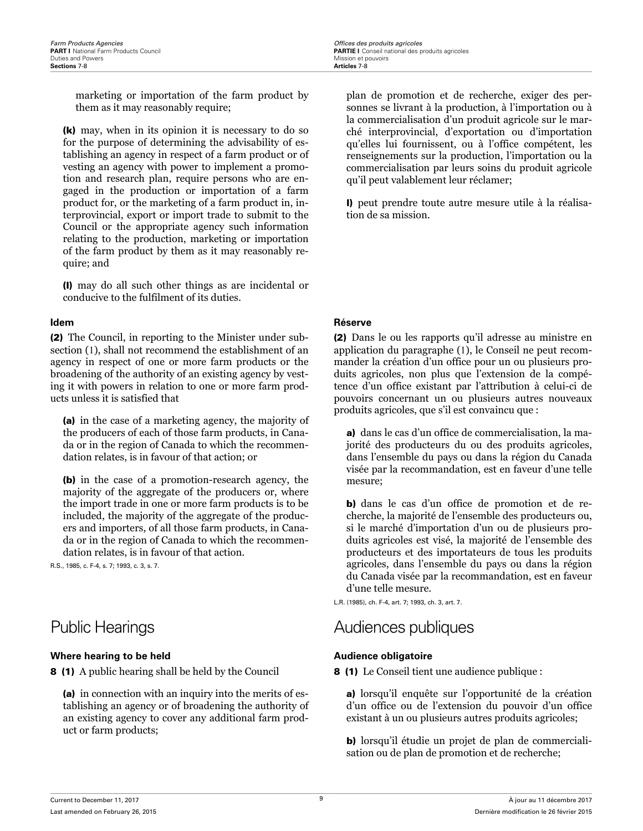<span id="page-13-0"></span>marketing or importation of the farm product by them as it may reasonably require;

(k) may, when in its opinion it is necessary to do so for the purpose of determining the advisability of establishing an agency in respect of a farm product or of vesting an agency with power to implement a promotion and research plan, require persons who are engaged in the production or importation of a farm product for, or the marketing of a farm product in, interprovincial, export or import trade to submit to the Council or the appropriate agency such information relating to the production, marketing or importation of the farm product by them as it may reasonably require; and

(l) may do all such other things as are incidental or conducive to the fulfilment of its duties.

(2) The Council, in reporting to the Minister under subsection (1), shall not recommend the establishment of an agency in respect of one or more farm products or the broadening of the authority of an existing agency by vesting it with powers in relation to one or more farm products unless it is satisfied that

(a) in the case of a marketing agency, the majority of the producers of each of those farm products, in Canada or in the region of Canada to which the recommendation relates, is in favour of that action; or

(b) in the case of a promotion-research agency, the majority of the aggregate of the producers or, where the import trade in one or more farm products is to be included, the majority of the aggregate of the producers and importers, of all those farm products, in Canada or in the region of Canada to which the recommendation relates, is in favour of that action.

R.S., 1985, c. F-4, s. 7; 1993, c. 3, s. 7.

### **Where hearing to be held Audience obligatoire Audience obligatoire**

8 (1) A public hearing shall be held by the Council

(a) in connection with an inquiry into the merits of establishing an agency or of broadening the authority of an existing agency to cover any additional farm product or farm products;

plan de promotion et de recherche, exiger des personnes se livrant à la production, à l'importation ou à la commercialisation d'un produit agricole sur le marché interprovincial, d'exportation ou d'importation qu'elles lui fournissent, ou à l'office compétent, les renseignements sur la production, l'importation ou la commercialisation par leurs soins du produit agricole qu'il peut valablement leur réclamer;

l) peut prendre toute autre mesure utile à la réalisation de sa mission.

### **Idem Réserve**

(2) Dans le ou les rapports qu'il adresse au ministre en application du paragraphe (1), le Conseil ne peut recommander la création d'un office pour un ou plusieurs produits agricoles, non plus que l'extension de la compétence d'un office existant par l'attribution à celui-ci de pouvoirs concernant un ou plusieurs autres nouveaux produits agricoles, que s'il est convaincu que :

a) dans le cas d'un office de commercialisation, la majorité des producteurs du ou des produits agricoles, dans l'ensemble du pays ou dans la région du Canada visée par la recommandation, est en faveur d'une telle mesure;

b) dans le cas d'un office de promotion et de recherche, la majorité de l'ensemble des producteurs ou, si le marché d'importation d'un ou de plusieurs produits agricoles est visé, la majorité de l'ensemble des producteurs et des importateurs de tous les produits agricoles, dans l'ensemble du pays ou dans la région du Canada visée par la recommandation, est en faveur d'une telle mesure.

L.R. (1985), ch. F-4, art. 7; 1993, ch. 3, art. 7.

## Public Hearings **Audiences** publiques

8 (1) Le Conseil tient une audience publique :

a) lorsqu'il enquête sur l'opportunité de la création d'un office ou de l'extension du pouvoir d'un office existant à un ou plusieurs autres produits agricoles;

b) lorsqu'il étudie un projet de plan de commercialisation ou de plan de promotion et de recherche;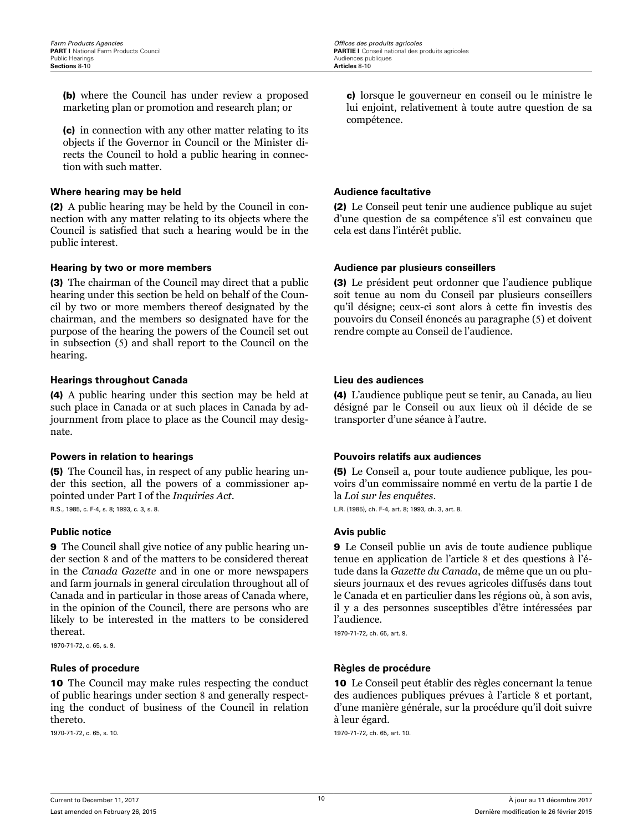<span id="page-14-0"></span>(b) where the Council has under review a proposed marketing plan or promotion and research plan; or

(c) in connection with any other matter relating to its objects if the Governor in Council or the Minister directs the Council to hold a public hearing in connection with such matter.

### **Where hearing may be held Audience facultative Audience facultative**

(2) A public hearing may be held by the Council in connection with any matter relating to its objects where the Council is satisfied that such a hearing would be in the public interest.

### **Hearing by two or more members Audience par plusieurs conseillers**

(3) The chairman of the Council may direct that a public hearing under this section be held on behalf of the Council by two or more members thereof designated by the chairman, and the members so designated have for the purpose of the hearing the powers of the Council set out in subsection (5) and shall report to the Council on the hearing.

### **Hearings throughout Canada Lieu des audiences**

(4) A public hearing under this section may be held at such place in Canada or at such places in Canada by adjournment from place to place as the Council may designate.

(5) The Council has, in respect of any public hearing under this section, all the powers of a commissioner appointed under Part I of the *Inquiries Act*.

R.S., 1985, c. F-4, s. 8; 1993, c. 3, s. 8.

### **Public notice Avis** public **Public Avis** public

9 The Council shall give notice of any public hearing under section 8 and of the matters to be considered thereat in the *Canada Gazette* and in one or more newspapers and farm journals in general circulation throughout all of Canada and in particular in those areas of Canada where, in the opinion of the Council, there are persons who are likely to be interested in the matters to be considered thereat.

1970-71-72, c. 65, s. 9.

10 The Council may make rules respecting the conduct of public hearings under section 8 and generally respecting the conduct of business of the Council in relation thereto.

1970-71-72, c. 65, s. 10.

c) lorsque le gouverneur en conseil ou le ministre le lui enjoint, relativement à toute autre question de sa compétence.

(2) Le Conseil peut tenir une audience publique au sujet d'une question de sa compétence s'il est convaincu que cela est dans l'intérêt public.

(3) Le président peut ordonner que l'audience publique soit tenue au nom du Conseil par plusieurs conseillers qu'il désigne; ceux-ci sont alors à cette fin investis des pouvoirs du Conseil énoncés au paragraphe (5) et doivent rendre compte au Conseil de l'audience.

(4) L'audience publique peut se tenir, au Canada, au lieu désigné par le Conseil ou aux lieux où il décide de se transporter d'une séance à l'autre.

### **Powers in relation to hearings Pouvoirs relatifs aux audiences**

(5) Le Conseil a, pour toute audience publique, les pouvoirs d'un commissaire nommé en vertu de la partie I de la *Loi sur les enquêtes*.

L.R. (1985), ch. F-4, art. 8; 1993, ch. 3, art. 8.

9 Le Conseil publie un avis de toute audience publique tenue en application de l'article 8 et des questions à l'étude dans la *Gazette du Canada*, de même que un ou plusieurs journaux et des revues agricoles diffusés dans tout le Canada et en particulier dans les régions où, à son avis, il y a des personnes susceptibles d'être intéressées par l'audience.

1970-71-72, ch. 65, art. 9.

### **Rules of procedure Règles de procédure**

10 Le Conseil peut établir des règles concernant la tenue des audiences publiques prévues à l'article 8 et portant, d'une manière générale, sur la procédure qu'il doit suivre à leur égard.

1970-71-72, ch. 65, art. 10.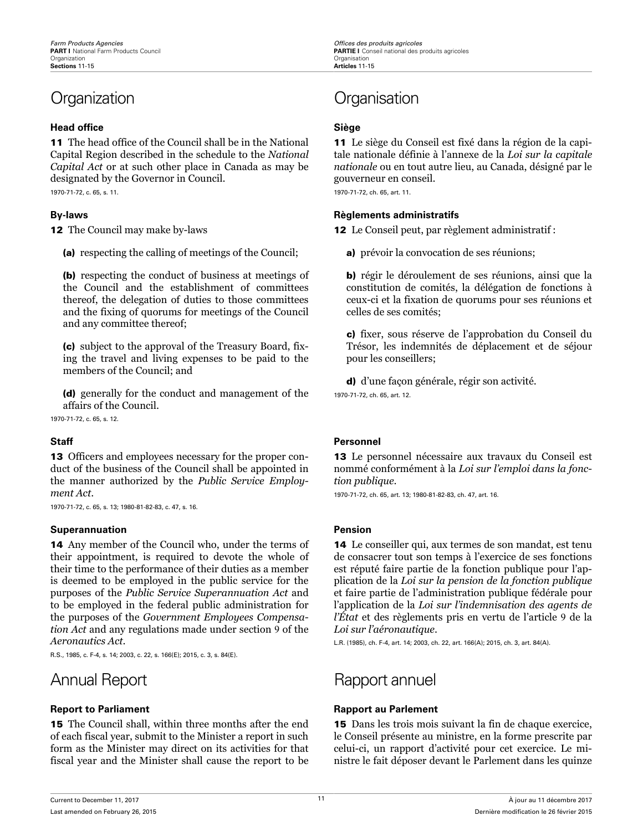### **Head office Siège**

11 The head office of the Council shall be in the National Capital Region described in the schedule to the *National Capital Act* or at such other place in Canada as may be designated by the Governor in Council.

1970-71-72, c. 65, s. 11.

12 The Council may make by-laws

(a) respecting the calling of meetings of the Council;

(b) respecting the conduct of business at meetings of the Council and the establishment of committees thereof, the delegation of duties to those committees and the fixing of quorums for meetings of the Council and any committee thereof;

(c) subject to the approval of the Treasury Board, fixing the travel and living expenses to be paid to the members of the Council; and

(d) generally for the conduct and management of the affairs of the Council.

1970-71-72, c. 65, s. 12.

13 Officers and employees necessary for the proper conduct of the business of the Council shall be appointed in the manner authorized by the *Public Service Employment Act*.

1970-71-72, c. 65, s. 13; 1980-81-82-83, c. 47, s. 16.

### **Superannuation Pension**

14 Any member of the Council who, under the terms of their appointment, is required to devote the whole of their time to the performance of their duties as a member is deemed to be employed in the public service for the purposes of the *Public Service Superannuation Act* and to be employed in the federal public administration for the purposes of the *Government Employees Compensation Act* and any regulations made under section 9 of the *Aeronautics Act*.

R.S., 1985, c. F-4, s. 14; 2003, c. 22, s. 166(E); 2015, c. 3, s. 84(E).

15 The Council shall, within three months after the end of each fiscal year, submit to the Minister a report in such form as the Minister may direct on its activities for that fiscal year and the Minister shall cause the report to be

## <span id="page-15-0"></span>Organization Organisation

11 Le siège du Conseil est fixé dans la région de la capitale nationale définie à l'annexe de la *Loi sur la capitale nationale* ou en tout autre lieu, au Canada, désigné par le gouverneur en conseil.

1970-71-72, ch. 65, art. 11.

### **By-laws Règlements administratifs**

12 Le Conseil peut, par règlement administratif :

a) prévoir la convocation de ses réunions;

b) régir le déroulement de ses réunions, ainsi que la constitution de comités, la délégation de fonctions à ceux-ci et la fixation de quorums pour ses réunions et celles de ses comités;

c) fixer, sous réserve de l'approbation du Conseil du Trésor, les indemnités de déplacement et de séjour pour les conseillers;

d) d'une façon générale, régir son activité. 1970-71-72, ch. 65, art. 12.

### **Staff Personnel**

13 Le personnel nécessaire aux travaux du Conseil est nommé conformément à la *Loi sur l'emploi dans la fonction publique*.

1970-71-72, ch. 65, art. 13; 1980-81-82-83, ch. 47, art. 16.

14 Le conseiller qui, aux termes de son mandat, est tenu de consacrer tout son temps à l'exercice de ses fonctions est réputé faire partie de la fonction publique pour l'application de la *Loi sur la pension de la fonction publique* et faire partie de l'administration publique fédérale pour l'application de la *Loi sur l'indemnisation des agents de l'État* et des règlements pris en vertu de l'article 9 de la *Loi sur l'aéronautique*.

L.R. (1985), ch. F-4, art. 14; 2003, ch. 22, art. 166(A); 2015, ch. 3, art. 84(A).

## Annual Report **Rapport** annuel

### **Report to Parliament Rapport au Parlement**

15 Dans les trois mois suivant la fin de chaque exercice, le Conseil présente au ministre, en la forme prescrite par celui-ci, un rapport d'activité pour cet exercice. Le ministre le fait déposer devant le Parlement dans les quinze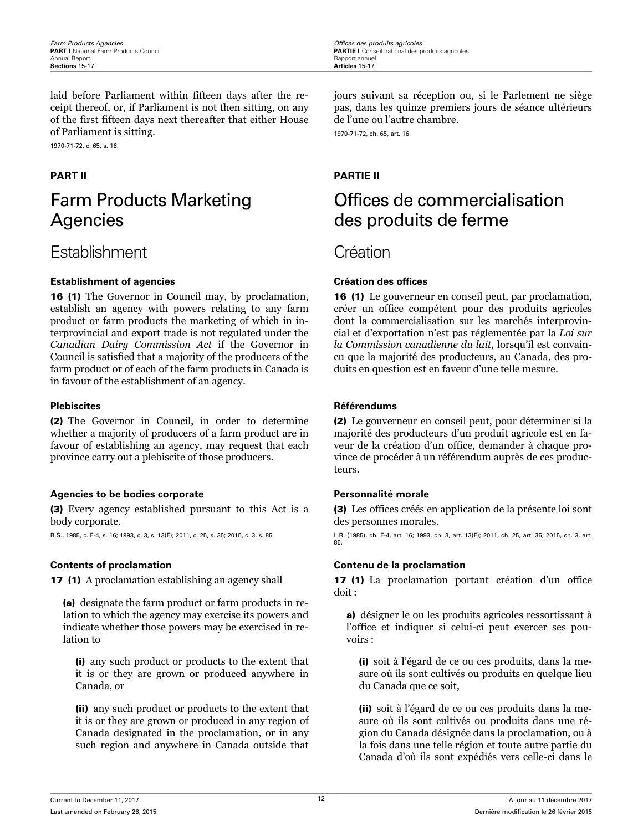<span id="page-16-0"></span>laid before Parliament within fifteen days after the receipt thereof, or, if Parliament is not then sitting, on any of the first fifteen days next thereafter that either House of Parliament is sitting.

1970-71-72, c. 65, s. 16.

## Farm Products Marketing Agencies

## Establishment Création

### **Establishment of agencies Création des offices**

16 (1) The Governor in Council may, by proclamation, establish an agency with powers relating to any farm product or farm products the marketing of which in interprovincial and export trade is not regulated under the *Canadian Dairy Commission Act* if the Governor in Council is satisfied that a majority of the producers of the farm product or of each of the farm products in Canada is in favour of the establishment of an agency.

(2) The Governor in Council, in order to determine whether a majority of producers of a farm product are in favour of establishing an agency, may request that each province carry out a plebiscite of those producers.

### **Agencies to be bodies corporate Personnalité morale**

(3) Every agency established pursuant to this Act is a body corporate.

R.S., 1985, c. F-4, s. 16; 1993, c. 3, s. 13(F); 2011, c. 25, s. 35; 2015, c. 3, s. 85.

17 (1) A proclamation establishing an agency shall

(a) designate the farm product or farm products in relation to which the agency may exercise its powers and indicate whether those powers may be exercised in relation to

(i) any such product or products to the extent that it is or they are grown or produced anywhere in Canada, or

(ii) any such product or products to the extent that it is or they are grown or produced in any region of Canada designated in the proclamation, or in any such region and anywhere in Canada outside that

jours suivant sa réception ou, si le Parlement ne siège pas, dans les quinze premiers jours de séance ultérieurs de l'une ou l'autre chambre.

1970-71-72, ch. 65, art. 16.

### **PART II PARTIE II**

## Offices de commercialisation des produits de ferme

16 (1) Le gouverneur en conseil peut, par proclamation, créer un office compétent pour des produits agricoles dont la commercialisation sur les marchés interprovincial et d'exportation n'est pas réglementée par la *Loi sur la Commission canadienne du lait*, lorsqu'il est convaincu que la majorité des producteurs, au Canada, des produits en question est en faveur d'une telle mesure.

### **Plebiscites Référendums**

(2) Le gouverneur en conseil peut, pour déterminer si la majorité des producteurs d'un produit agricole est en faveur de la création d'un office, demander à chaque province de procéder à un référendum auprès de ces producteurs.

(3) Les offices créés en application de la présente loi sont des personnes morales.

L.R. (1985), ch. F-4, art. 16; 1993, ch. 3, art. 13(F); 2011, ch. 25, art. 35; 2015, ch. 3, art. 85.

### **Contents of proclamation Contenu de la proclamation**

17 (1) La proclamation portant création d'un office doit :

a) désigner le ou les produits agricoles ressortissant à l'office et indiquer si celui-ci peut exercer ses pouvoirs :

(i) soit à l'égard de ce ou ces produits, dans la mesure où ils sont cultivés ou produits en quelque lieu du Canada que ce soit,

(ii) soit à l'égard de ce ou ces produits dans la mesure où ils sont cultivés ou produits dans une région du Canada désignée dans la proclamation, ou à la fois dans une telle région et toute autre partie du Canada d'où ils sont expédiés vers celle-ci dans le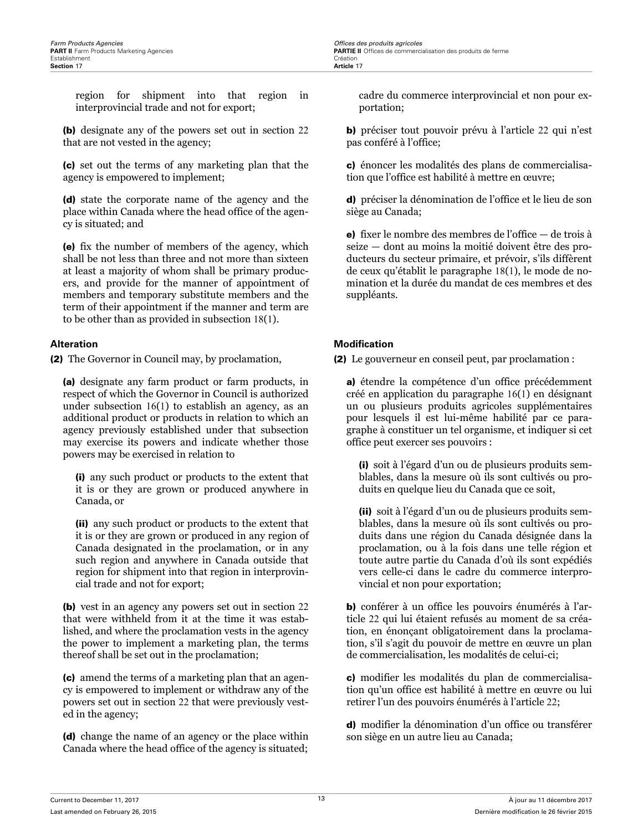region for shipment into that region in interprovincial trade and not for export;

(b) designate any of the powers set out in section 22 that are not vested in the agency;

(c) set out the terms of any marketing plan that the agency is empowered to implement;

(d) state the corporate name of the agency and the place within Canada where the head office of the agency is situated; and

(e) fix the number of members of the agency, which shall be not less than three and not more than sixteen at least a majority of whom shall be primary producers, and provide for the manner of appointment of members and temporary substitute members and the term of their appointment if the manner and term are to be other than as provided in subsection 18(1).

(2) The Governor in Council may, by proclamation,

(a) designate any farm product or farm products, in respect of which the Governor in Council is authorized under subsection 16(1) to establish an agency, as an additional product or products in relation to which an agency previously established under that subsection may exercise its powers and indicate whether those powers may be exercised in relation to

(i) any such product or products to the extent that it is or they are grown or produced anywhere in Canada, or

(ii) any such product or products to the extent that it is or they are grown or produced in any region of Canada designated in the proclamation, or in any such region and anywhere in Canada outside that region for shipment into that region in interprovincial trade and not for export;

(b) vest in an agency any powers set out in section 22 that were withheld from it at the time it was established, and where the proclamation vests in the agency the power to implement a marketing plan, the terms thereof shall be set out in the proclamation;

(c) amend the terms of a marketing plan that an agency is empowered to implement or withdraw any of the powers set out in section 22 that were previously vested in the agency;

(d) change the name of an agency or the place within Canada where the head office of the agency is situated;

cadre du commerce interprovincial et non pour exportation;

b) préciser tout pouvoir prévu à l'article 22 qui n'est pas conféré à l'office;

c) énoncer les modalités des plans de commercialisation que l'office est habilité à mettre en œuvre;

d) préciser la dénomination de l'office et le lieu de son siège au Canada;

e) fixer le nombre des membres de l'office — de trois à seize — dont au moins la moitié doivent être des producteurs du secteur primaire, et prévoir, s'ils diffèrent de ceux qu'établit le paragraphe 18(1), le mode de nomination et la durée du mandat de ces membres et des suppléants.

### **Alteration Modication**

(2) Le gouverneur en conseil peut, par proclamation :

a) étendre la compétence d'un office précédemment créé en application du paragraphe 16(1) en désignant un ou plusieurs produits agricoles supplémentaires pour lesquels il est lui-même habilité par ce paragraphe à constituer un tel organisme, et indiquer si cet office peut exercer ses pouvoirs :

(i) soit à l'égard d'un ou de plusieurs produits semblables, dans la mesure où ils sont cultivés ou produits en quelque lieu du Canada que ce soit,

(ii) soit à l'égard d'un ou de plusieurs produits semblables, dans la mesure où ils sont cultivés ou produits dans une région du Canada désignée dans la proclamation, ou à la fois dans une telle région et toute autre partie du Canada d'où ils sont expédiés vers celle-ci dans le cadre du commerce interprovincial et non pour exportation;

b) conférer à un office les pouvoirs énumérés à l'article 22 qui lui étaient refusés au moment de sa création, en énonçant obligatoirement dans la proclamation, s'il s'agit du pouvoir de mettre en œuvre un plan de commercialisation, les modalités de celui-ci;

c) modifier les modalités du plan de commercialisation qu'un office est habilité à mettre en œuvre ou lui retirer l'un des pouvoirs énumérés à l'article 22;

d) modifier la dénomination d'un office ou transférer son siège en un autre lieu au Canada;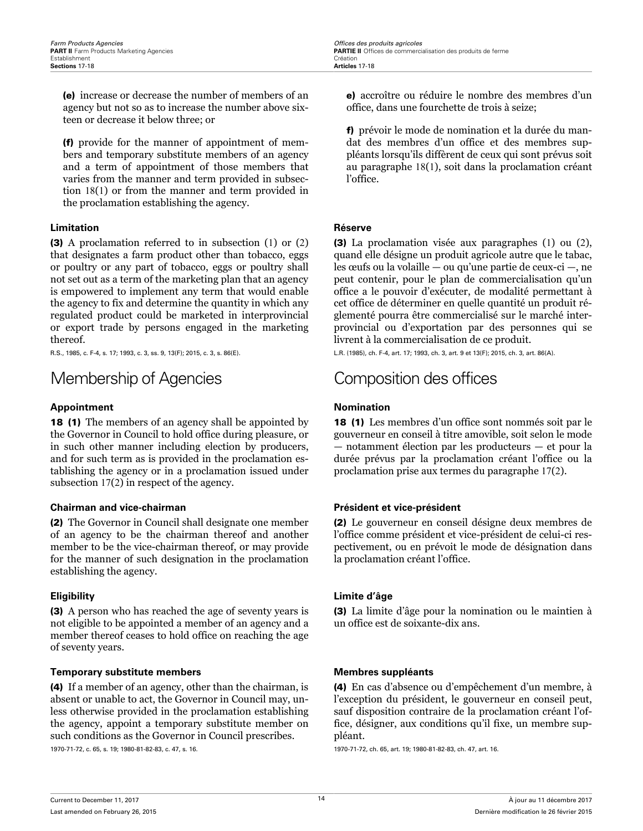<span id="page-18-0"></span>(e) increase or decrease the number of members of an agency but not so as to increase the number above sixteen or decrease it below three; or

(f) provide for the manner of appointment of members and temporary substitute members of an agency and a term of appointment of those members that varies from the manner and term provided in subsection 18(1) or from the manner and term provided in the proclamation establishing the agency.

### **Limitation Réserve**

(3) A proclamation referred to in subsection (1) or (2) that designates a farm product other than tobacco, eggs or poultry or any part of tobacco, eggs or poultry shall not set out as a term of the marketing plan that an agency is empowered to implement any term that would enable the agency to fix and determine the quantity in which any regulated product could be marketed in interprovincial or export trade by persons engaged in the marketing thereof.

R.S., 1985, c. F-4, s. 17; 1993, c. 3, ss. 9, 13(F); 2015, c. 3, s. 86(E).

## Membership of Agencies Composition des offices

### **Appointment Nomination**

18 (1) The members of an agency shall be appointed by the Governor in Council to hold office during pleasure, or in such other manner including election by producers, and for such term as is provided in the proclamation establishing the agency or in a proclamation issued under subsection 17(2) in respect of the agency.

### **Chairman and vice-chairman Président et vice-président**

(2) The Governor in Council shall designate one member of an agency to be the chairman thereof and another member to be the vice-chairman thereof, or may provide for the manner of such designation in the proclamation establishing the agency.

(3) A person who has reached the age of seventy years is not eligible to be appointed a member of an agency and a member thereof ceases to hold office on reaching the age of seventy years.

### **Temporary substitute members Membres suppléants**

(4) If a member of an agency, other than the chairman, is absent or unable to act, the Governor in Council may, unless otherwise provided in the proclamation establishing the agency, appoint a temporary substitute member on such conditions as the Governor in Council prescribes.

1970-71-72, c. 65, s. 19; 1980-81-82-83, c. 47, s. 16.

e) accroître ou réduire le nombre des membres d'un office, dans une fourchette de trois à seize;

f) prévoir le mode de nomination et la durée du mandat des membres d'un office et des membres suppléants lorsqu'ils diffèrent de ceux qui sont prévus soit au paragraphe 18(1), soit dans la proclamation créant l'office.

(3) La proclamation visée aux paragraphes (1) ou (2), quand elle désigne un produit agricole autre que le tabac, les œufs ou la volaille — ou qu'une partie de ceux-ci —, ne peut contenir, pour le plan de commercialisation qu'un office a le pouvoir d'exécuter, de modalité permettant à cet office de déterminer en quelle quantité un produit réglementé pourra être commercialisé sur le marché interprovincial ou d'exportation par des personnes qui se livrent à la commercialisation de ce produit.

L.R. (1985), ch. F-4, art. 17; 1993, ch. 3, art. 9 et 13(F); 2015, ch. 3, art. 86(A).

18 (1) Les membres d'un office sont nommés soit par le gouverneur en conseil à titre amovible, soit selon le mode — notamment élection par les producteurs — et pour la durée prévus par la proclamation créant l'office ou la proclamation prise aux termes du paragraphe 17(2).

(2) Le gouverneur en conseil désigne deux membres de l'office comme président et vice-président de celui-ci respectivement, ou en prévoit le mode de désignation dans la proclamation créant l'office.

### **Eligibility Limite d'âge**

(3) La limite d'âge pour la nomination ou le maintien à un office est de soixante-dix ans.

(4) En cas d'absence ou d'empêchement d'un membre, à l'exception du président, le gouverneur en conseil peut, sauf disposition contraire de la proclamation créant l'office, désigner, aux conditions qu'il fixe, un membre suppléant.

1970-71-72, ch. 65, art. 19; 1980-81-82-83, ch. 47, art. 16.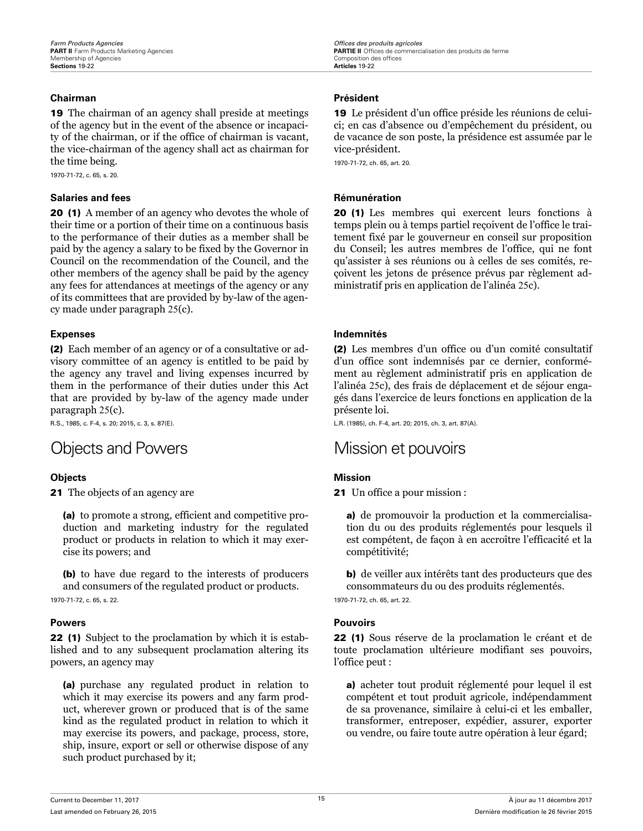### <span id="page-19-0"></span>**Chairman Président**

19 The chairman of an agency shall preside at meetings of the agency but in the event of the absence or incapacity of the chairman, or if the office of chairman is vacant, the vice-chairman of the agency shall act as chairman for the time being.

1970-71-72, c. 65, s. 20.

### **Salaries and fees Rémunération Rémunération**

20 (1) A member of an agency who devotes the whole of their time or a portion of their time on a continuous basis to the performance of their duties as a member shall be paid by the agency a salary to be fixed by the Governor in Council on the recommendation of the Council, and the other members of the agency shall be paid by the agency any fees for attendances at meetings of the agency or any of its committees that are provided by by-law of the agency made under paragraph 25(c).

(2) Each member of an agency or of a consultative or advisory committee of an agency is entitled to be paid by the agency any travel and living expenses incurred by them in the performance of their duties under this Act that are provided by by-law of the agency made under paragraph 25(c).

R.S., 1985, c. F-4, s. 20; 2015, c. 3, s. 87(E).

## Objects and Powers Mission et pouvoirs

**21** The objects of an agency are

(a) to promote a strong, efficient and competitive production and marketing industry for the regulated product or products in relation to which it may exercise its powers; and

(b) to have due regard to the interests of producers and consumers of the regulated product or products. 1970-71-72, c. 65, s. 22.

22 (1) Subject to the proclamation by which it is established and to any subsequent proclamation altering its powers, an agency may

(a) purchase any regulated product in relation to which it may exercise its powers and any farm product, wherever grown or produced that is of the same kind as the regulated product in relation to which it may exercise its powers, and package, process, store, ship, insure, export or sell or otherwise dispose of any such product purchased by it;

19 Le président d'un office préside les réunions de celuici; en cas d'absence ou d'empêchement du président, ou de vacance de son poste, la présidence est assumée par le vice-président.

1970-71-72, ch. 65, art. 20.

20 (1) Les membres qui exercent leurs fonctions à temps plein ou à temps partiel reçoivent de l'office le traitement fixé par le gouverneur en conseil sur proposition du Conseil; les autres membres de l'office, qui ne font qu'assister à ses réunions ou à celles de ses comités, reçoivent les jetons de présence prévus par règlement administratif pris en application de l'alinéa 25c).

### **Expenses Indemnités**

(2) Les membres d'un office ou d'un comité consultatif d'un office sont indemnisés par ce dernier, conformément au règlement administratif pris en application de l'alinéa 25c), des frais de déplacement et de séjour engagés dans l'exercice de leurs fonctions en application de la présente loi.

L.R. (1985), ch. F-4, art. 20; 2015, ch. 3, art. 87(A).

### **Objects Mission**

21 Un office a pour mission :

a) de promouvoir la production et la commercialisation du ou des produits réglementés pour lesquels il est compétent, de façon à en accroître l'efficacité et la compétitivité;

b) de veiller aux intérêts tant des producteurs que des consommateurs du ou des produits réglementés.

1970-71-72, ch. 65, art. 22.

### **Powers Pouvoirs**

22 (1) Sous réserve de la proclamation le créant et de toute proclamation ultérieure modifiant ses pouvoirs, l'office peut :

a) acheter tout produit réglementé pour lequel il est compétent et tout produit agricole, indépendamment de sa provenance, similaire à celui-ci et les emballer, transformer, entreposer, expédier, assurer, exporter ou vendre, ou faire toute autre opération à leur égard;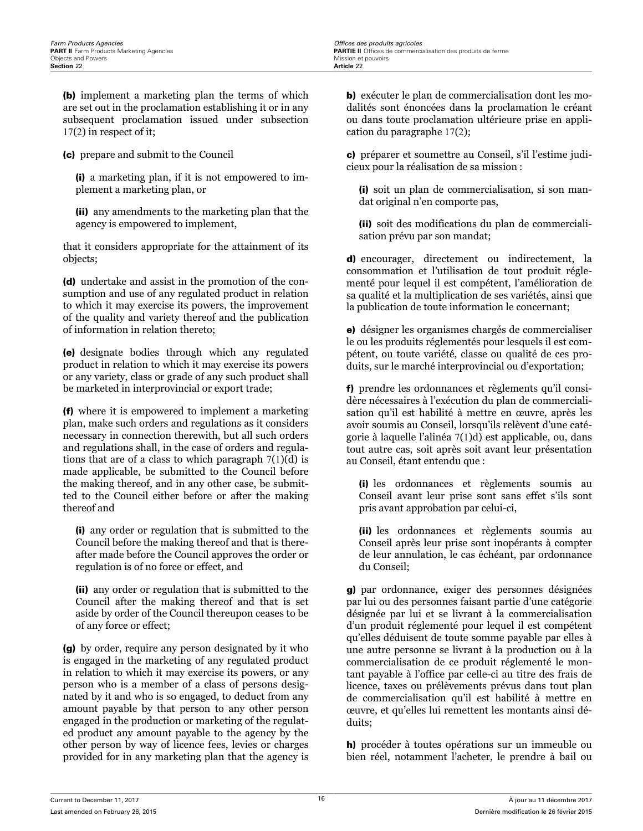(b) implement a marketing plan the terms of which are set out in the proclamation establishing it or in any subsequent proclamation issued under subsection 17(2) in respect of it;

(c) prepare and submit to the Council

(i) a marketing plan, if it is not empowered to implement a marketing plan, or

(ii) any amendments to the marketing plan that the agency is empowered to implement,

that it considers appropriate for the attainment of its objects;

(d) undertake and assist in the promotion of the consumption and use of any regulated product in relation to which it may exercise its powers, the improvement of the quality and variety thereof and the publication of information in relation thereto;

(e) designate bodies through which any regulated product in relation to which it may exercise its powers or any variety, class or grade of any such product shall be marketed in interprovincial or export trade;

(f) where it is empowered to implement a marketing plan, make such orders and regulations as it considers necessary in connection therewith, but all such orders and regulations shall, in the case of orders and regulations that are of a class to which paragraph 7(1)(d) is made applicable, be submitted to the Council before the making thereof, and in any other case, be submitted to the Council either before or after the making thereof and

(i) any order or regulation that is submitted to the Council before the making thereof and that is thereafter made before the Council approves the order or regulation is of no force or effect, and

(ii) any order or regulation that is submitted to the Council after the making thereof and that is set aside by order of the Council thereupon ceases to be of any force or effect;

(g) by order, require any person designated by it who is engaged in the marketing of any regulated product in relation to which it may exercise its powers, or any person who is a member of a class of persons designated by it and who is so engaged, to deduct from any amount payable by that person to any other person engaged in the production or marketing of the regulated product any amount payable to the agency by the other person by way of licence fees, levies or charges provided for in any marketing plan that the agency is

b) exécuter le plan de commercialisation dont les modalités sont énoncées dans la proclamation le créant ou dans toute proclamation ultérieure prise en application du paragraphe 17(2);

c) préparer et soumettre au Conseil, s'il l'estime judicieux pour la réalisation de sa mission :

(i) soit un plan de commercialisation, si son mandat original n'en comporte pas,

(ii) soit des modifications du plan de commercialisation prévu par son mandat;

d) encourager, directement ou indirectement, la consommation et l'utilisation de tout produit réglementé pour lequel il est compétent, l'amélioration de sa qualité et la multiplication de ses variétés, ainsi que la publication de toute information le concernant;

e) désigner les organismes chargés de commercialiser le ou les produits réglementés pour lesquels il est compétent, ou toute variété, classe ou qualité de ces produits, sur le marché interprovincial ou d'exportation;

f) prendre les ordonnances et règlements qu'il considère nécessaires à l'exécution du plan de commercialisation qu'il est habilité à mettre en œuvre, après les avoir soumis au Conseil, lorsqu'ils relèvent d'une catégorie à laquelle l'alinéa 7(1)d) est applicable, ou, dans tout autre cas, soit après soit avant leur présentation au Conseil, étant entendu que :

(i) les ordonnances et règlements soumis au Conseil avant leur prise sont sans effet s'ils sont pris avant approbation par celui-ci,

(ii) les ordonnances et règlements soumis au Conseil après leur prise sont inopérants à compter de leur annulation, le cas échéant, par ordonnance du Conseil;

g) par ordonnance, exiger des personnes désignées par lui ou des personnes faisant partie d'une catégorie désignée par lui et se livrant à la commercialisation d'un produit réglementé pour lequel il est compétent qu'elles déduisent de toute somme payable par elles à une autre personne se livrant à la production ou à la commercialisation de ce produit réglementé le montant payable à l'office par celle-ci au titre des frais de licence, taxes ou prélèvements prévus dans tout plan de commercialisation qu'il est habilité à mettre en œuvre, et qu'elles lui remettent les montants ainsi déduits;

h) procéder à toutes opérations sur un immeuble ou bien réel, notamment l'acheter, le prendre à bail ou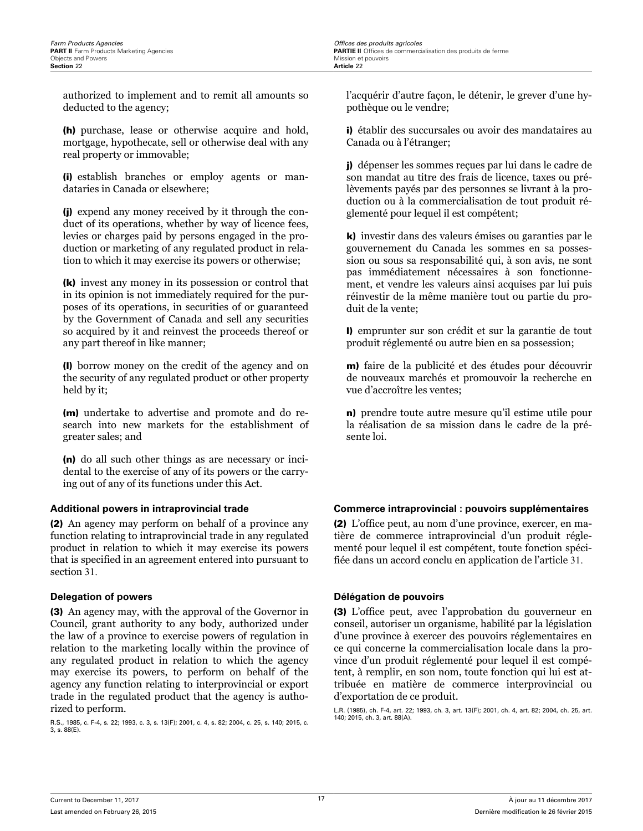**PARTIE II** Offices de commercialisation des produits de ferme<br>Mission et pouvoirs

authorized to implement and to remit all amounts so deducted to the agency;

(h) purchase, lease or otherwise acquire and hold, mortgage, hypothecate, sell or otherwise deal with any real property or immovable;

(i) establish branches or employ agents or mandataries in Canada or elsewhere;

(j) expend any money received by it through the conduct of its operations, whether by way of licence fees, levies or charges paid by persons engaged in the production or marketing of any regulated product in relation to which it may exercise its powers or otherwise;

(k) invest any money in its possession or control that in its opinion is not immediately required for the purposes of its operations, in securities of or guaranteed by the Government of Canada and sell any securities so acquired by it and reinvest the proceeds thereof or any part thereof in like manner;

(l) borrow money on the credit of the agency and on the security of any regulated product or other property held by it;

(m) undertake to advertise and promote and do research into new markets for the establishment of greater sales; and

(n) do all such other things as are necessary or incidental to the exercise of any of its powers or the carrying out of any of its functions under this Act.

(2) An agency may perform on behalf of a province any function relating to intraprovincial trade in any regulated product in relation to which it may exercise its powers that is specified in an agreement entered into pursuant to section 31.

(3) An agency may, with the approval of the Governor in Council, grant authority to any body, authorized under the law of a province to exercise powers of regulation in relation to the marketing locally within the province of any regulated product in relation to which the agency may exercise its powers, to perform on behalf of the agency any function relating to interprovincial or export trade in the regulated product that the agency is authorized to perform.

R.S., 1985, c. F-4, s. 22; 1993, c. 3, s. 13(F); 2001, c. 4, s. 82; 2004, c. 25, s. 140; 2015, c. 3, s. 88(E).

l'acquérir d'autre façon, le détenir, le grever d'une hypothèque ou le vendre;

i) établir des succursales ou avoir des mandataires au Canada ou à l'étranger;

j) dépenser les sommes reçues par lui dans le cadre de son mandat au titre des frais de licence, taxes ou prélèvements payés par des personnes se livrant à la production ou à la commercialisation de tout produit réglementé pour lequel il est compétent;

k) investir dans des valeurs émises ou garanties par le gouvernement du Canada les sommes en sa possession ou sous sa responsabilité qui, à son avis, ne sont pas immédiatement nécessaires à son fonctionnement, et vendre les valeurs ainsi acquises par lui puis réinvestir de la même manière tout ou partie du produit de la vente;

l) emprunter sur son crédit et sur la garantie de tout produit réglementé ou autre bien en sa possession;

m) faire de la publicité et des études pour découvrir de nouveaux marchés et promouvoir la recherche en vue d'accroître les ventes;

n) prendre toute autre mesure qu'il estime utile pour la réalisation de sa mission dans le cadre de la présente loi.

### **Additional powers in intraprovincial trade Commerce intraprovincial : pouvoirs supplémentaires**

(2) L'office peut, au nom d'une province, exercer, en matière de commerce intraprovincial d'un produit réglementé pour lequel il est compétent, toute fonction spécifiée dans un accord conclu en application de l'article 31.

### **Delegation of powers Délégation de pouvoirs**

(3) L'office peut, avec l'approbation du gouverneur en conseil, autoriser un organisme, habilité par la législation d'une province à exercer des pouvoirs réglementaires en ce qui concerne la commercialisation locale dans la province d'un produit réglementé pour lequel il est compétent, à remplir, en son nom, toute fonction qui lui est attribuée en matière de commerce interprovincial ou d'exportation de ce produit.

L.R. (1985), ch. F-4, art. 22; 1993, ch. 3, art. 13(F); 2001, ch. 4, art. 82; 2004, ch. 25, art. 140; 2015, ch. 3, art. 88(A).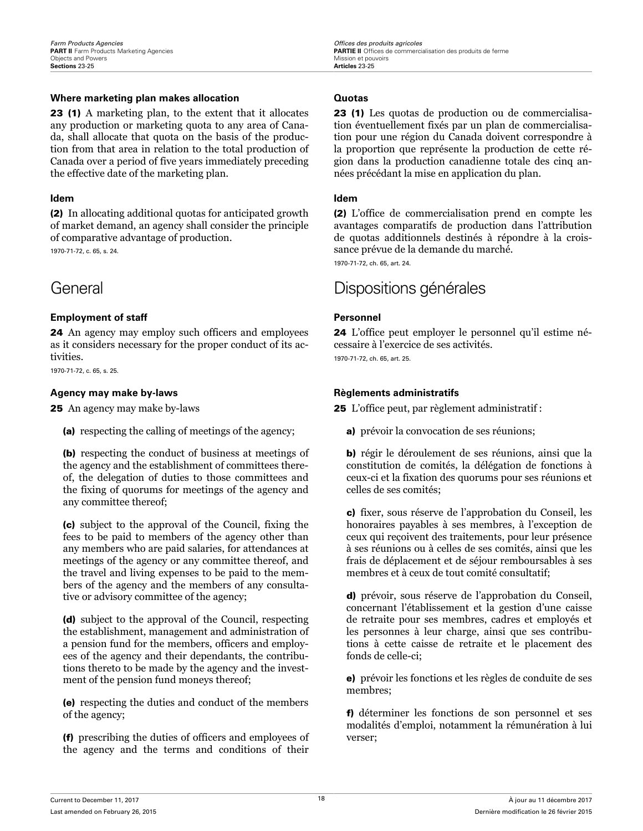### <span id="page-22-0"></span>**Where marketing plan makes allocation Cuotas**

23 (1) A marketing plan, to the extent that it allocates any production or marketing quota to any area of Canada, shall allocate that quota on the basis of the production from that area in relation to the total production of Canada over a period of five years immediately preceding the effective date of the marketing plan.

(2) In allocating additional quotas for anticipated growth of market demand, an agency shall consider the principle of comparative advantage of production.

1970-71-72, c. 65, s. 24.

### **Employment of staff Personnel**

24 An agency may employ such officers and employees as it considers necessary for the proper conduct of its activities.

1970-71-72, c. 65, s. 25.

### **Agency may make by-laws Règlements administratifs**

25 An agency may make by-laws

(a) respecting the calling of meetings of the agency;

(b) respecting the conduct of business at meetings of the agency and the establishment of committees thereof, the delegation of duties to those committees and the fixing of quorums for meetings of the agency and any committee thereof;

(c) subject to the approval of the Council, fixing the fees to be paid to members of the agency other than any members who are paid salaries, for attendances at meetings of the agency or any committee thereof, and the travel and living expenses to be paid to the members of the agency and the members of any consultative or advisory committee of the agency;

(d) subject to the approval of the Council, respecting the establishment, management and administration of a pension fund for the members, officers and employees of the agency and their dependants, the contributions thereto to be made by the agency and the investment of the pension fund moneys thereof;

(e) respecting the duties and conduct of the members of the agency;

(f) prescribing the duties of officers and employees of the agency and the terms and conditions of their

23 (1) Les quotas de production ou de commercialisation éventuellement fixés par un plan de commercialisation pour une région du Canada doivent correspondre à la proportion que représente la production de cette région dans la production canadienne totale des cinq années précédant la mise en application du plan.

### **Idem Idem**

(2) L'office de commercialisation prend en compte les avantages comparatifs de production dans l'attribution de quotas additionnels destinés à répondre à la croissance prévue de la demande du marché.

1970-71-72, ch. 65, art. 24.

## General Dispositions générales

24 L'office peut employer le personnel qu'il estime nécessaire à l'exercice de ses activités. 1970-71-72, ch. 65, art. 25.

25 L'office peut, par règlement administratif :

a) prévoir la convocation de ses réunions;

b) régir le déroulement de ses réunions, ainsi que la constitution de comités, la délégation de fonctions à ceux-ci et la fixation des quorums pour ses réunions et celles de ses comités;

c) fixer, sous réserve de l'approbation du Conseil, les honoraires payables à ses membres, à l'exception de ceux qui reçoivent des traitements, pour leur présence à ses réunions ou à celles de ses comités, ainsi que les frais de déplacement et de séjour remboursables à ses membres et à ceux de tout comité consultatif;

d) prévoir, sous réserve de l'approbation du Conseil, concernant l'établissement et la gestion d'une caisse de retraite pour ses membres, cadres et employés et les personnes à leur charge, ainsi que ses contributions à cette caisse de retraite et le placement des fonds de celle-ci;

e) prévoir les fonctions et les règles de conduite de ses membres;

f) déterminer les fonctions de son personnel et ses modalités d'emploi, notamment la rémunération à lui verser;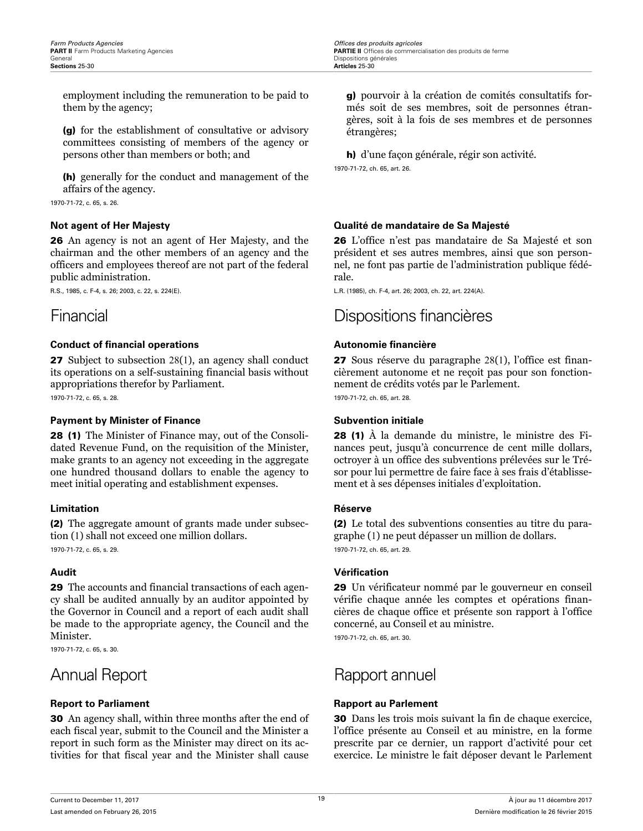<span id="page-23-0"></span>employment including the remuneration to be paid to them by the agency;

(g) for the establishment of consultative or advisory committees consisting of members of the agency or persons other than members or both; and

(h) generally for the conduct and management of the affairs of the agency.

1970-71-72, c. 65, s. 26.

26 An agency is not an agent of Her Majesty, and the chairman and the other members of an agency and the officers and employees thereof are not part of the federal public administration.

R.S., 1985, c. F-4, s. 26; 2003, c. 22, s. 224(E).

### **Conduct of financial operations <b>Autonomie financière Autonomie financière**

27 Subject to subsection 28(1), an agency shall conduct its operations on a self-sustaining financial basis without appropriations therefor by Parliament.

1970-71-72, c. 65, s. 28.

### **Payment by Minister of Finance <b>Subvention initiale Subvention initiale**

28 (1) The Minister of Finance may, out of the Consolidated Revenue Fund, on the requisition of the Minister, make grants to an agency not exceeding in the aggregate one hundred thousand dollars to enable the agency to meet initial operating and establishment expenses.

### **Limitation Réserve**

(2) The aggregate amount of grants made under subsection (1) shall not exceed one million dollars. 1970-71-72, c. 65, s. 29.

29 The accounts and financial transactions of each agency shall be audited annually by an auditor appointed by the Governor in Council and a report of each audit shall be made to the appropriate agency, the Council and the Minister.

1970-71-72, c. 65, s. 30.

30 An agency shall, within three months after the end of each fiscal year, submit to the Council and the Minister a report in such form as the Minister may direct on its activities for that fiscal year and the Minister shall cause g) pourvoir à la création de comités consultatifs formés soit de ses membres, soit de personnes étrangères, soit à la fois de ses membres et de personnes étrangères;

h) d'une façon générale, régir son activité. 1970-71-72, ch. 65, art. 26.

### **Not agent of Her Majesty Qualité de mandataire de Sa Majesté**

26 L'office n'est pas mandataire de Sa Majesté et son président et ses autres membres, ainsi que son personnel, ne font pas partie de l'administration publique fédérale.

L.R. (1985), ch. F-4, art. 26; 2003, ch. 22, art. 224(A).

## Financial Dispositions financières

27 Sous réserve du paragraphe 28(1), l'office est financièrement autonome et ne reçoit pas pour son fonctionnement de crédits votés par le Parlement.

1970-71-72, ch. 65, art. 28.

28 (1) À la demande du ministre, le ministre des Finances peut, jusqu'à concurrence de cent mille dollars, octroyer à un office des subventions prélevées sur le Trésor pour lui permettre de faire face à ses frais d'établissement et à ses dépenses initiales d'exploitation.

(2) Le total des subventions consenties au titre du paragraphe (1) ne peut dépasser un million de dollars. 1970-71-72, ch. 65, art. 29.

### **Audit Vérication**

29 Un vérificateur nommé par le gouverneur en conseil vérifie chaque année les comptes et opérations financières de chaque office et présente son rapport à l'office concerné, au Conseil et au ministre.

1970-71-72, ch. 65, art. 30.

## Annual Report **Rapport** annuel

### **Report to Parliament Rapport au Parlement**

30 Dans les trois mois suivant la fin de chaque exercice, l'office présente au Conseil et au ministre, en la forme prescrite par ce dernier, un rapport d'activité pour cet exercice. Le ministre le fait déposer devant le Parlement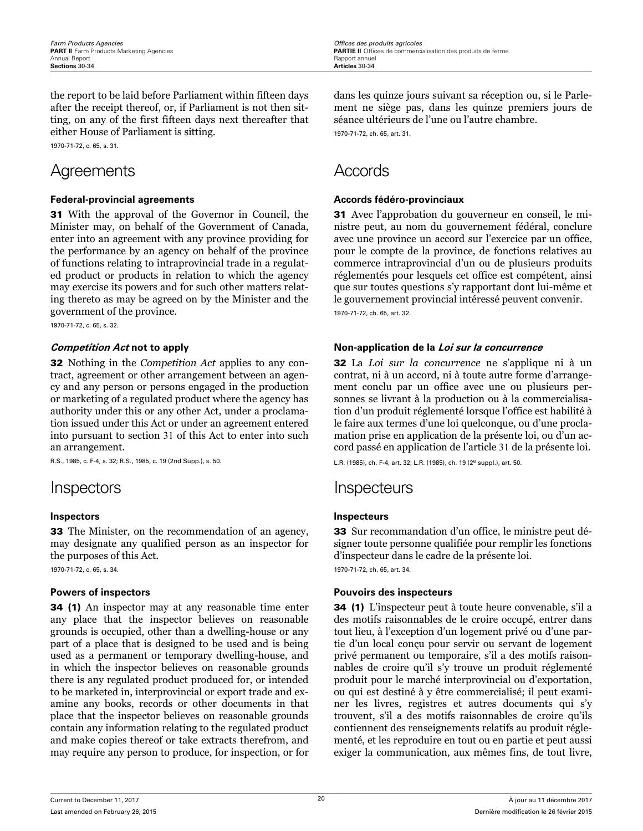<span id="page-24-0"></span>the report to be laid before Parliament within fifteen days after the receipt thereof, or, if Parliament is not then sitting, on any of the first fifteen days next thereafter that either House of Parliament is sitting.

1970-71-72, c. 65, s. 31.

## Agreements Accords

### **Federal-provincial agreements Accords fédéro-provinciaux**

31 With the approval of the Governor in Council, the Minister may, on behalf of the Government of Canada, enter into an agreement with any province providing for the performance by an agency on behalf of the province of functions relating to intraprovincial trade in a regulated product or products in relation to which the agency may exercise its powers and for such other matters relating thereto as may be agreed on by the Minister and the government of the province.

1970-71-72, c. 65, s. 32.

32 Nothing in the *Competition Act* applies to any contract, agreement or other arrangement between an agency and any person or persons engaged in the production or marketing of a regulated product where the agency has authority under this or any other Act, under a proclamation issued under this Act or under an agreement entered into pursuant to section 31 of this Act to enter into such an arrangement.

R.S., 1985, c. F-4, s. 32; R.S., 1985, c. 19 (2nd Supp.), s. 50.

33 The Minister, on the recommendation of an agency, may designate any qualified person as an inspector for the purposes of this Act.

1970-71-72, c. 65, s. 34.

34 (1) An inspector may at any reasonable time enter any place that the inspector believes on reasonable grounds is occupied, other than a dwelling-house or any part of a place that is designed to be used and is being used as a permanent or temporary dwelling-house, and in which the inspector believes on reasonable grounds there is any regulated product produced for, or intended to be marketed in, interprovincial or export trade and examine any books, records or other documents in that place that the inspector believes on reasonable grounds contain any information relating to the regulated product and make copies thereof or take extracts therefrom, and may require any person to produce, for inspection, or for dans les quinze jours suivant sa réception ou, si le Parlement ne siège pas, dans les quinze premiers jours de séance ultérieurs de l'une ou l'autre chambre.

1970-71-72, ch. 65, art. 31.

31 Avec l'approbation du gouverneur en conseil, le ministre peut, au nom du gouvernement fédéral, conclure avec une province un accord sur l'exercice par un office, pour le compte de la province, de fonctions relatives au commerce intraprovincial d'un ou de plusieurs produits réglementés pour lesquels cet office est compétent, ainsi que sur toutes questions s'y rapportant dont lui-même et le gouvernement provincial intéressé peuvent convenir. 1970-71-72, ch. 65, art. 32.

### **Competition Act not to apply Non-application de la Loi sur la concurrence**

32 La *Loi sur la concurrence* ne s'applique ni à un contrat, ni à un accord, ni à toute autre forme d'arrangement conclu par un office avec une ou plusieurs personnes se livrant à la production ou à la commercialisation d'un produit réglementé lorsque l'office est habilité à le faire aux termes d'une loi quelconque, ou d'une proclamation prise en application de la présente loi, ou d'un accord passé en application de l'article 31 de la présente loi.

L.R. (1985), ch. F-4, art. 32; L.R. (1985), ch. 19 (2e suppl.), art. 50.

## Inspectors Inspecteurs

### **Inspectors Inspecteurs**

33 Sur recommandation d'un office, le ministre peut désigner toute personne qualifiée pour remplir les fonctions d'inspecteur dans le cadre de la présente loi.

1970-71-72, ch. 65, art. 34.

### **Powers of inspectors Pouvoirs des inspecteurs**

34 (1) L'inspecteur peut à toute heure convenable, s'il a des motifs raisonnables de le croire occupé, entrer dans tout lieu, à l'exception d'un logement privé ou d'une partie d'un local conçu pour servir ou servant de logement privé permanent ou temporaire, s'il a des motifs raisonnables de croire qu'il s'y trouve un produit réglementé produit pour le marché interprovincial ou d'exportation, ou qui est destiné à y être commercialisé; il peut examiner les livres, registres et autres documents qui s'y trouvent, s'il a des motifs raisonnables de croire qu'ils contiennent des renseignements relatifs au produit réglementé, et les reproduire en tout ou en partie et peut aussi exiger la communication, aux mêmes fins, de tout livre,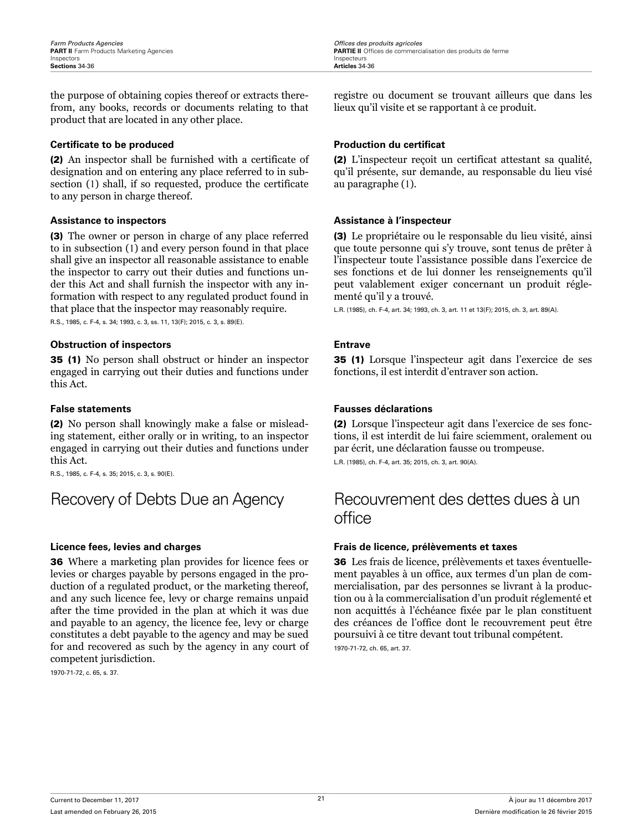<span id="page-25-0"></span>the purpose of obtaining copies thereof or extracts therefrom, any books, records or documents relating to that product that are located in any other place.

### **Certificate to be produced and a production du certificat**

(2) An inspector shall be furnished with a certificate of designation and on entering any place referred to in subsection (1) shall, if so requested, produce the certificate to any person in charge thereof.

### **Assistance to inspectors Assistance à l'inspecteur**

(3) The owner or person in charge of any place referred to in subsection (1) and every person found in that place shall give an inspector all reasonable assistance to enable the inspector to carry out their duties and functions under this Act and shall furnish the inspector with any information with respect to any regulated product found in that place that the inspector may reasonably require.

R.S., 1985, c. F-4, s. 34; 1993, c. 3, ss. 11, 13(F); 2015, c. 3, s. 89(E).

### **Obstruction of inspectors Entrave**

35 (1) No person shall obstruct or hinder an inspector engaged in carrying out their duties and functions under this Act.

(2) No person shall knowingly make a false or misleading statement, either orally or in writing, to an inspector engaged in carrying out their duties and functions under this Act.

R.S., 1985, c. F-4, s. 35; 2015, c. 3, s. 90(E).

36 Where a marketing plan provides for licence fees or levies or charges payable by persons engaged in the production of a regulated product, or the marketing thereof, and any such licence fee, levy or charge remains unpaid after the time provided in the plan at which it was due and payable to an agency, the licence fee, levy or charge constitutes a debt payable to the agency and may be sued for and recovered as such by the agency in any court of competent jurisdiction.

1970-71-72, c. 65, s. 37.

**PARTIE II** Offices de commercialisation des produits de ferme

registre ou document se trouvant ailleurs que dans les lieux qu'il visite et se rapportant à ce produit.

(2) L'inspecteur reçoit un certificat attestant sa qualité, qu'il présente, sur demande, au responsable du lieu visé au paragraphe (1).

(3) Le propriétaire ou le responsable du lieu visité, ainsi que toute personne qui s'y trouve, sont tenus de prêter à l'inspecteur toute l'assistance possible dans l'exercice de ses fonctions et de lui donner les renseignements qu'il peut valablement exiger concernant un produit réglementé qu'il y a trouvé.

L.R. (1985), ch. F-4, art. 34; 1993, ch. 3, art. 11 et 13(F); 2015, ch. 3, art. 89(A).

35 (1) Lorsque l'inspecteur agit dans l'exercice de ses fonctions, il est interdit d'entraver son action.

### **False statements Fausses déclarations**

(2) Lorsque l'inspecteur agit dans l'exercice de ses fonctions, il est interdit de lui faire sciemment, oralement ou par écrit, une déclaration fausse ou trompeuse.

L.R. (1985), ch. F-4, art. 35; 2015, ch. 3, art. 90(A).

## Recovery of Debts Due an Agency Recouvrement des dettes dues à un office

### **Licence fees, levies and charges Frais de licence, prélèvements et taxes**

36 Les frais de licence, prélèvements et taxes éventuellement payables à un office, aux termes d'un plan de commercialisation, par des personnes se livrant à la production ou à la commercialisation d'un produit réglementé et non acquittés à l'échéance fixée par le plan constituent des créances de l'office dont le recouvrement peut être poursuivi à ce titre devant tout tribunal compétent.

1970-71-72, ch. 65, art. 37.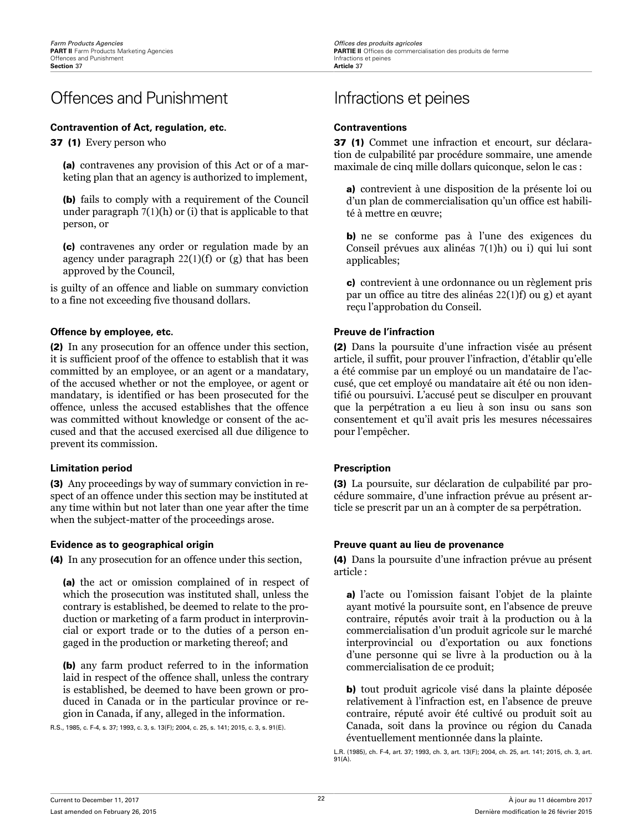## <span id="page-26-0"></span>Offences and Punishment Infractions et peines

### **Contravention of Act, regulation, etc. Contraventions**

37 (1) Every person who

(a) contravenes any provision of this Act or of a marketing plan that an agency is authorized to implement,

(b) fails to comply with a requirement of the Council under paragraph 7(1)(h) or (i) that is applicable to that person, or

(c) contravenes any order or regulation made by an agency under paragraph  $22(1)(f)$  or  $(g)$  that has been approved by the Council,

is guilty of an offence and liable on summary conviction to a fine not exceeding five thousand dollars.

### **Offence by employee, etc. Preuve de l'infraction**

(2) In any prosecution for an offence under this section, it is sufficient proof of the offence to establish that it was committed by an employee, or an agent or a mandatary, of the accused whether or not the employee, or agent or mandatary, is identified or has been prosecuted for the offence, unless the accused establishes that the offence was committed without knowledge or consent of the accused and that the accused exercised all due diligence to prevent its commission.

### **Limitation period Prescription**

(3) Any proceedings by way of summary conviction in respect of an offence under this section may be instituted at any time within but not later than one year after the time when the subject-matter of the proceedings arose.

(4) In any prosecution for an offence under this section,

(a) the act or omission complained of in respect of which the prosecution was instituted shall, unless the contrary is established, be deemed to relate to the production or marketing of a farm product in interprovincial or export trade or to the duties of a person engaged in the production or marketing thereof; and

(b) any farm product referred to in the information laid in respect of the offence shall, unless the contrary is established, be deemed to have been grown or produced in Canada or in the particular province or region in Canada, if any, alleged in the information.

R.S., 1985, c. F-4, s. 37; 1993, c. 3, s. 13(F); 2004, c. 25, s. 141; 2015, c. 3, s. 91(E).

37 (1) Commet une infraction et encourt, sur déclaration de culpabilité par procédure sommaire, une amende maximale de cinq mille dollars quiconque, selon le cas :

a) contrevient à une disposition de la présente loi ou d'un plan de commercialisation qu'un office est habilité à mettre en œuvre;

b) ne se conforme pas à l'une des exigences du Conseil prévues aux alinéas 7(1)h) ou i) qui lui sont applicables;

c) contrevient à une ordonnance ou un règlement pris par un office au titre des alinéas 22(1)f) ou g) et ayant reçu l'approbation du Conseil.

(2) Dans la poursuite d'une infraction visée au présent article, il suffit, pour prouver l'infraction, d'établir qu'elle a été commise par un employé ou un mandataire de l'accusé, que cet employé ou mandataire ait été ou non identifié ou poursuivi. L'accusé peut se disculper en prouvant que la perpétration a eu lieu à son insu ou sans son consentement et qu'il avait pris les mesures nécessaires pour l'empêcher.

(3) La poursuite, sur déclaration de culpabilité par procédure sommaire, d'une infraction prévue au présent article se prescrit par un an à compter de sa perpétration.

### **Evidence as to geographical origin Preuve quant au lieu de provenance**

(4) Dans la poursuite d'une infraction prévue au présent article :

a) l'acte ou l'omission faisant l'objet de la plainte ayant motivé la poursuite sont, en l'absence de preuve contraire, réputés avoir trait à la production ou à la commercialisation d'un produit agricole sur le marché interprovincial ou d'exportation ou aux fonctions d'une personne qui se livre à la production ou à la commercialisation de ce produit;

b) tout produit agricole visé dans la plainte déposée relativement à l'infraction est, en l'absence de preuve contraire, réputé avoir été cultivé ou produit soit au Canada, soit dans la province ou région du Canada éventuellement mentionnée dans la plainte.

L.R. (1985), ch. F-4, art. 37; 1993, ch. 3, art. 13(F); 2004, ch. 25, art. 141; 2015, ch. 3, art. 91(A).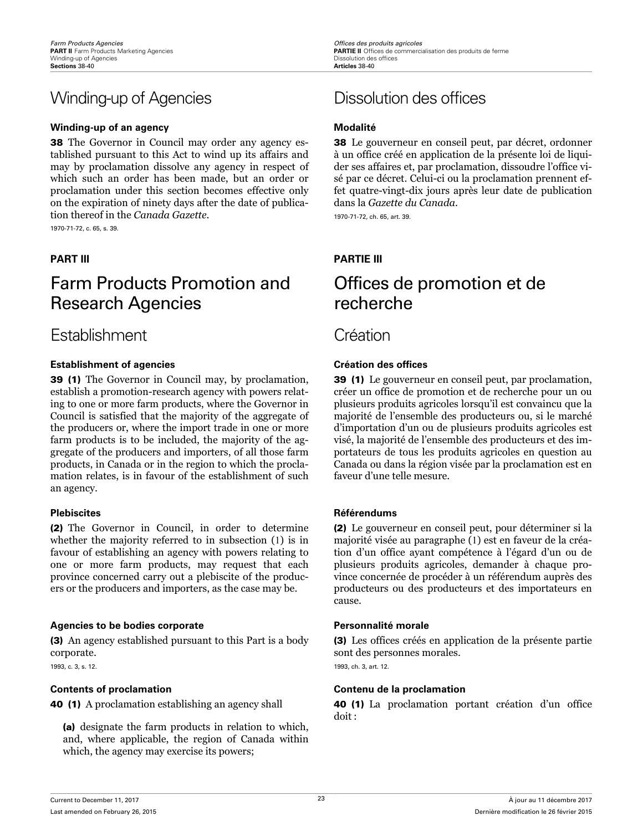## <span id="page-27-0"></span>Winding-up of Agencies Dissolution des offices

### **Winding-up of an agency <b>Modalities Modalities Modalities**

38 The Governor in Council may order any agency established pursuant to this Act to wind up its affairs and may by proclamation dissolve any agency in respect of which such an order has been made, but an order or proclamation under this section becomes effective only on the expiration of ninety days after the date of publication thereof in the *Canada Gazette*.

1970-71-72, c. 65, s. 39.

## Farm Products Promotion and Research Agencies

## Establishment Création

### **Establishment of agencies Création des offices Création des offices**

39 (1) The Governor in Council may, by proclamation, establish a promotion-research agency with powers relating to one or more farm products, where the Governor in Council is satisfied that the majority of the aggregate of the producers or, where the import trade in one or more farm products is to be included, the majority of the aggregate of the producers and importers, of all those farm products, in Canada or in the region to which the proclamation relates, is in favour of the establishment of such an agency.

(2) The Governor in Council, in order to determine whether the majority referred to in subsection (1) is in favour of establishing an agency with powers relating to one or more farm products, may request that each province concerned carry out a plebiscite of the producers or the producers and importers, as the case may be.

### **Agencies to be bodies corporate Personnalité morale**

(3) An agency established pursuant to this Part is a body corporate.

1993, c. 3, s. 12.

40 (1) A proclamation establishing an agency shall

(a) designate the farm products in relation to which, and, where applicable, the region of Canada within which, the agency may exercise its powers;

38 Le gouverneur en conseil peut, par décret, ordonner à un office créé en application de la présente loi de liquider ses affaires et, par proclamation, dissoudre l'office visé par ce décret. Celui-ci ou la proclamation prennent effet quatre-vingt-dix jours après leur date de publication dans la *Gazette du Canada*.

1970-71-72, ch. 65, art. 39.

### **PART III PARTIE III**

## Offices de promotion et de recherche

39 (1) Le gouverneur en conseil peut, par proclamation, créer un office de promotion et de recherche pour un ou plusieurs produits agricoles lorsqu'il est convaincu que la majorité de l'ensemble des producteurs ou, si le marché d'importation d'un ou de plusieurs produits agricoles est visé, la majorité de l'ensemble des producteurs et des importateurs de tous les produits agricoles en question au Canada ou dans la région visée par la proclamation est en faveur d'une telle mesure.

### **Plebiscites Référendums**

(2) Le gouverneur en conseil peut, pour déterminer si la majorité visée au paragraphe (1) est en faveur de la création d'un office ayant compétence à l'égard d'un ou de plusieurs produits agricoles, demander à chaque province concernée de procéder à un référendum auprès des producteurs ou des producteurs et des importateurs en cause.

(3) Les offices créés en application de la présente partie sont des personnes morales. 1993, ch. 3, art. 12.

### **Contents of proclamation Contenu de la proclamation**

40 (1) La proclamation portant création d'un office doit :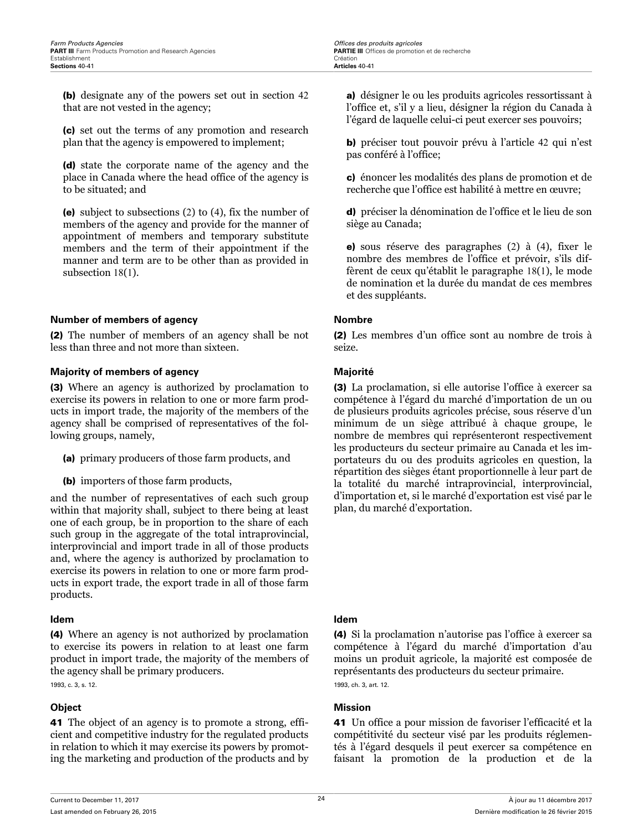<span id="page-28-0"></span>(b) designate any of the powers set out in section 42 that are not vested in the agency;

(c) set out the terms of any promotion and research plan that the agency is empowered to implement;

(d) state the corporate name of the agency and the place in Canada where the head office of the agency is to be situated; and

(e) subject to subsections (2) to (4), fix the number of members of the agency and provide for the manner of appointment of members and temporary substitute members and the term of their appointment if the manner and term are to be other than as provided in subsection 18(1).

### **Number of members of agency Nombre**

(2) The number of members of an agency shall be not less than three and not more than sixteen.

### **Majority of members of agency Majorité**

(3) Where an agency is authorized by proclamation to exercise its powers in relation to one or more farm products in import trade, the majority of the members of the agency shall be comprised of representatives of the following groups, namely,

- (a) primary producers of those farm products, and
- (b) importers of those farm products,

and the number of representatives of each such group within that majority shall, subject to there being at least one of each group, be in proportion to the share of each such group in the aggregate of the total intraprovincial, interprovincial and import trade in all of those products and, where the agency is authorized by proclamation to exercise its powers in relation to one or more farm products in export trade, the export trade in all of those farm products.

### **Idem Idem**

(4) Where an agency is not authorized by proclamation to exercise its powers in relation to at least one farm product in import trade, the majority of the members of the agency shall be primary producers.

1993, c. 3, s. 12.

41 The object of an agency is to promote a strong, efficient and competitive industry for the regulated products in relation to which it may exercise its powers by promoting the marketing and production of the products and by

a) désigner le ou les produits agricoles ressortissant à l'office et, s'il y a lieu, désigner la région du Canada à l'égard de laquelle celui-ci peut exercer ses pouvoirs;

b) préciser tout pouvoir prévu à l'article 42 qui n'est pas conféré à l'office;

c) énoncer les modalités des plans de promotion et de recherche que l'office est habilité à mettre en œuvre;

d) préciser la dénomination de l'office et le lieu de son siège au Canada;

e) sous réserve des paragraphes (2) à (4), fixer le nombre des membres de l'office et prévoir, s'ils diffèrent de ceux qu'établit le paragraphe 18(1), le mode de nomination et la durée du mandat de ces membres et des suppléants.

(2) Les membres d'un office sont au nombre de trois à seize.

(3) La proclamation, si elle autorise l'office à exercer sa compétence à l'égard du marché d'importation de un ou de plusieurs produits agricoles précise, sous réserve d'un minimum de un siège attribué à chaque groupe, le nombre de membres qui représenteront respectivement les producteurs du secteur primaire au Canada et les importateurs du ou des produits agricoles en question, la répartition des sièges étant proportionnelle à leur part de la totalité du marché intraprovincial, interprovincial, d'importation et, si le marché d'exportation est visé par le plan, du marché d'exportation.

(4) Si la proclamation n'autorise pas l'office à exercer sa compétence à l'égard du marché d'importation d'au moins un produit agricole, la majorité est composée de représentants des producteurs du secteur primaire. 1993, ch. 3, art. 12.

### **Object Mission**

41 Un office a pour mission de favoriser l'efficacité et la compétitivité du secteur visé par les produits réglementés à l'égard desquels il peut exercer sa compétence en faisant la promotion de la production et de la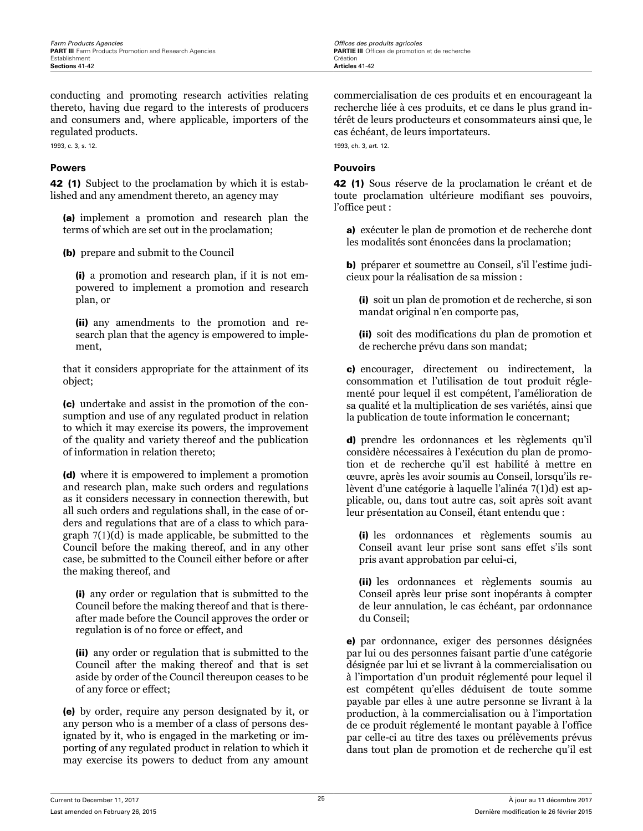<span id="page-29-0"></span>conducting and promoting research activities relating thereto, having due regard to the interests of producers and consumers and, where applicable, importers of the regulated products.

1993, c. 3, s. 12.

42 (1) Subject to the proclamation by which it is established and any amendment thereto, an agency may

(a) implement a promotion and research plan the terms of which are set out in the proclamation;

(b) prepare and submit to the Council

(i) a promotion and research plan, if it is not empowered to implement a promotion and research plan, or

(ii) any amendments to the promotion and research plan that the agency is empowered to implement,

that it considers appropriate for the attainment of its object;

(c) undertake and assist in the promotion of the consumption and use of any regulated product in relation to which it may exercise its powers, the improvement of the quality and variety thereof and the publication of information in relation thereto;

(d) where it is empowered to implement a promotion and research plan, make such orders and regulations as it considers necessary in connection therewith, but all such orders and regulations shall, in the case of orders and regulations that are of a class to which paragraph 7(1)(d) is made applicable, be submitted to the Council before the making thereof, and in any other case, be submitted to the Council either before or after the making thereof, and

(i) any order or regulation that is submitted to the Council before the making thereof and that is thereafter made before the Council approves the order or regulation is of no force or effect, and

(ii) any order or regulation that is submitted to the Council after the making thereof and that is set aside by order of the Council thereupon ceases to be of any force or effect;

(e) by order, require any person designated by it, or any person who is a member of a class of persons designated by it, who is engaged in the marketing or importing of any regulated product in relation to which it may exercise its powers to deduct from any amount commercialisation de ces produits et en encourageant la recherche liée à ces produits, et ce dans le plus grand intérêt de leurs producteurs et consommateurs ainsi que, le cas échéant, de leurs importateurs.

1993, ch. 3, art. 12.

### **Powers Pouvoirs**

42 (1) Sous réserve de la proclamation le créant et de toute proclamation ultérieure modifiant ses pouvoirs, l'office peut :

a) exécuter le plan de promotion et de recherche dont les modalités sont énoncées dans la proclamation;

b) préparer et soumettre au Conseil, s'il l'estime judicieux pour la réalisation de sa mission :

(i) soit un plan de promotion et de recherche, si son mandat original n'en comporte pas,

(ii) soit des modifications du plan de promotion et de recherche prévu dans son mandat;

c) encourager, directement ou indirectement, la consommation et l'utilisation de tout produit réglementé pour lequel il est compétent, l'amélioration de sa qualité et la multiplication de ses variétés, ainsi que la publication de toute information le concernant;

d) prendre les ordonnances et les règlements qu'il considère nécessaires à l'exécution du plan de promotion et de recherche qu'il est habilité à mettre en œuvre, après les avoir soumis au Conseil, lorsqu'ils relèvent d'une catégorie à laquelle l'alinéa 7(1)d) est applicable, ou, dans tout autre cas, soit après soit avant leur présentation au Conseil, étant entendu que :

(i) les ordonnances et règlements soumis au Conseil avant leur prise sont sans effet s'ils sont pris avant approbation par celui-ci,

(ii) les ordonnances et règlements soumis au Conseil après leur prise sont inopérants à compter de leur annulation, le cas échéant, par ordonnance du Conseil;

e) par ordonnance, exiger des personnes désignées par lui ou des personnes faisant partie d'une catégorie désignée par lui et se livrant à la commercialisation ou à l'importation d'un produit réglementé pour lequel il est compétent qu'elles déduisent de toute somme payable par elles à une autre personne se livrant à la production, à la commercialisation ou à l'importation de ce produit réglementé le montant payable à l'office par celle-ci au titre des taxes ou prélèvements prévus dans tout plan de promotion et de recherche qu'il est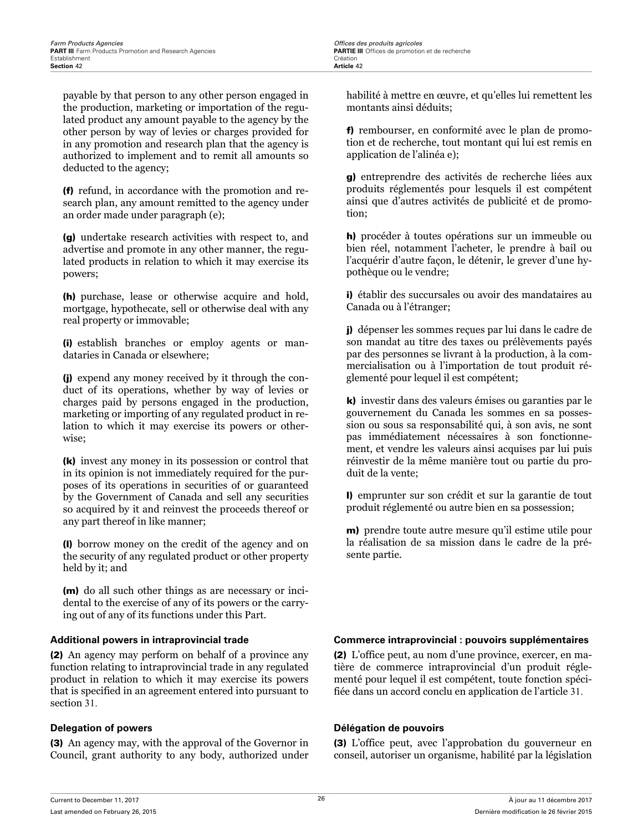payable by that person to any other person engaged in the production, marketing or importation of the regulated product any amount payable to the agency by the other person by way of levies or charges provided for in any promotion and research plan that the agency is authorized to implement and to remit all amounts so deducted to the agency;

(f) refund, in accordance with the promotion and research plan, any amount remitted to the agency under an order made under paragraph (e);

(g) undertake research activities with respect to, and advertise and promote in any other manner, the regulated products in relation to which it may exercise its powers;

(h) purchase, lease or otherwise acquire and hold, mortgage, hypothecate, sell or otherwise deal with any real property or immovable;

(i) establish branches or employ agents or mandataries in Canada or elsewhere;

(j) expend any money received by it through the conduct of its operations, whether by way of levies or charges paid by persons engaged in the production, marketing or importing of any regulated product in relation to which it may exercise its powers or otherwise;

(k) invest any money in its possession or control that in its opinion is not immediately required for the purposes of its operations in securities of or guaranteed by the Government of Canada and sell any securities so acquired by it and reinvest the proceeds thereof or any part thereof in like manner;

(l) borrow money on the credit of the agency and on the security of any regulated product or other property held by it; and

(m) do all such other things as are necessary or incidental to the exercise of any of its powers or the carrying out of any of its functions under this Part.

(2) An agency may perform on behalf of a province any function relating to intraprovincial trade in any regulated product in relation to which it may exercise its powers that is specified in an agreement entered into pursuant to section 31.

(3) An agency may, with the approval of the Governor in Council, grant authority to any body, authorized under habilité à mettre en œuvre, et qu'elles lui remettent les montants ainsi déduits;

f) rembourser, en conformité avec le plan de promotion et de recherche, tout montant qui lui est remis en application de l'alinéa e);

g) entreprendre des activités de recherche liées aux produits réglementés pour lesquels il est compétent ainsi que d'autres activités de publicité et de promotion;

h) procéder à toutes opérations sur un immeuble ou bien réel, notamment l'acheter, le prendre à bail ou l'acquérir d'autre façon, le détenir, le grever d'une hypothèque ou le vendre;

i) établir des succursales ou avoir des mandataires au Canada ou à l'étranger;

j) dépenser les sommes reçues par lui dans le cadre de son mandat au titre des taxes ou prélèvements payés par des personnes se livrant à la production, à la commercialisation ou à l'importation de tout produit réglementé pour lequel il est compétent;

k) investir dans des valeurs émises ou garanties par le gouvernement du Canada les sommes en sa possession ou sous sa responsabilité qui, à son avis, ne sont pas immédiatement nécessaires à son fonctionnement, et vendre les valeurs ainsi acquises par lui puis réinvestir de la même manière tout ou partie du produit de la vente;

l) emprunter sur son crédit et sur la garantie de tout produit réglementé ou autre bien en sa possession;

m) prendre toute autre mesure qu'il estime utile pour la réalisation de sa mission dans le cadre de la présente partie.

### **Additional powers in intraprovincial trade Commerce intraprovincial : pouvoirs supplémentaires**

(2) L'office peut, au nom d'une province, exercer, en matière de commerce intraprovincial d'un produit réglementé pour lequel il est compétent, toute fonction spécifiée dans un accord conclu en application de l'article 31.

### **Delegation of powers Délégation de pouvoirs**

(3) L'office peut, avec l'approbation du gouverneur en conseil, autoriser un organisme, habilité par la législation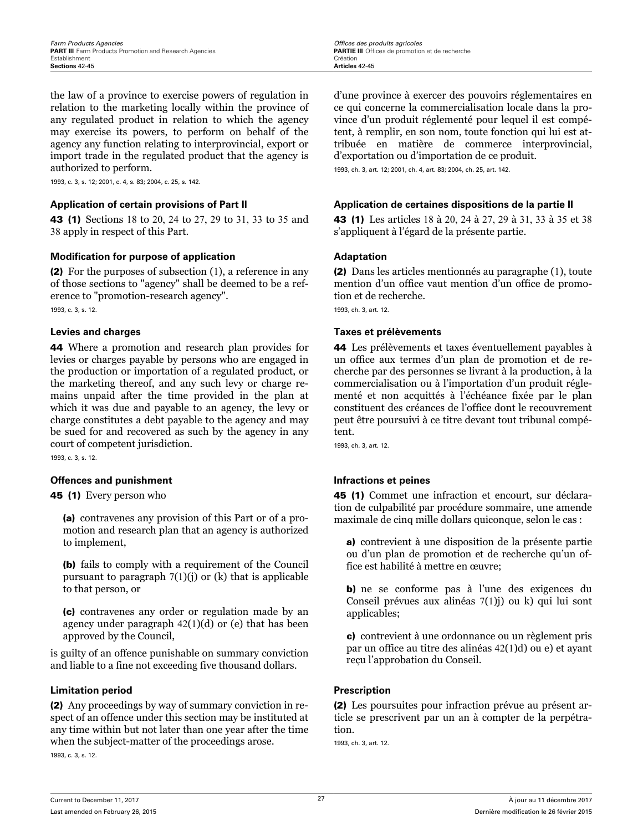<span id="page-31-0"></span>the law of a province to exercise powers of regulation in relation to the marketing locally within the province of any regulated product in relation to which the agency may exercise its powers, to perform on behalf of the agency any function relating to interprovincial, export or import trade in the regulated product that the agency is authorized to perform.

1993, c. 3, s. 12; 2001, c. 4, s. 83; 2004, c. 25, s. 142.

43 (1) Sections 18 to 20, 24 to 27, 29 to 31, 33 to 35 and 38 apply in respect of this Part.

### **Modification for purpose of application Adaptation**

(2) For the purposes of subsection (1), a reference in any of those sections to "agency" shall be deemed to be a reference to "promotion-research agency". 1993, c. 3, s. 12.

44 Where a promotion and research plan provides for levies or charges payable by persons who are engaged in the production or importation of a regulated product, or the marketing thereof, and any such levy or charge remains unpaid after the time provided in the plan at which it was due and payable to an agency, the levy or charge constitutes a debt payable to the agency and may be sued for and recovered as such by the agency in any court of competent jurisdiction.

1993, c. 3, s. 12.

### **Offences and punishment Infractions et peines**

45 (1) Every person who

(a) contravenes any provision of this Part or of a promotion and research plan that an agency is authorized to implement,

(b) fails to comply with a requirement of the Council pursuant to paragraph  $7(1)(j)$  or (k) that is applicable to that person, or

(c) contravenes any order or regulation made by an agency under paragraph 42(1)(d) or (e) that has been approved by the Council,

is guilty of an offence punishable on summary conviction and liable to a fine not exceeding five thousand dollars.

### **Limitation period Prescription**

(2) Any proceedings by way of summary conviction in respect of an offence under this section may be instituted at any time within but not later than one year after the time when the subject-matter of the proceedings arose.

1993, c. 3, s. 12.

d'une province à exercer des pouvoirs réglementaires en ce qui concerne la commercialisation locale dans la province d'un produit réglementé pour lequel il est compétent, à remplir, en son nom, toute fonction qui lui est attribuée en matière de commerce interprovincial, d'exportation ou d'importation de ce produit.

1993, ch. 3, art. 12; 2001, ch. 4, art. 83; 2004, ch. 25, art. 142.

### **Application of certain provisions of Part II Application de certaines dispositions de la partie II**

43 (1) Les articles 18 à 20, 24 à 27, 29 à 31, 33 à 35 et 38 s'appliquent à l'égard de la présente partie.

(2) Dans les articles mentionnés au paragraphe (1), toute mention d'un office vaut mention d'un office de promotion et de recherche.

1993, ch. 3, art. 12.

### **Levies and charges Taxes et prélèvements**

44 Les prélèvements et taxes éventuellement payables à un office aux termes d'un plan de promotion et de recherche par des personnes se livrant à la production, à la commercialisation ou à l'importation d'un produit réglementé et non acquittés à l'échéance fixée par le plan constituent des créances de l'office dont le recouvrement peut être poursuivi à ce titre devant tout tribunal compétent.

1993, ch. 3, art. 12.

45 (1) Commet une infraction et encourt, sur déclaration de culpabilité par procédure sommaire, une amende maximale de cinq mille dollars quiconque, selon le cas :

a) contrevient à une disposition de la présente partie ou d'un plan de promotion et de recherche qu'un office est habilité à mettre en œuvre;

b) ne se conforme pas à l'une des exigences du Conseil prévues aux alinéas 7(1)j) ou k) qui lui sont applicables;

c) contrevient à une ordonnance ou un règlement pris par un office au titre des alinéas 42(1)d) ou e) et ayant reçu l'approbation du Conseil.

(2) Les poursuites pour infraction prévue au présent article se prescrivent par un an à compter de la perpétration.

1993, ch. 3, art. 12.